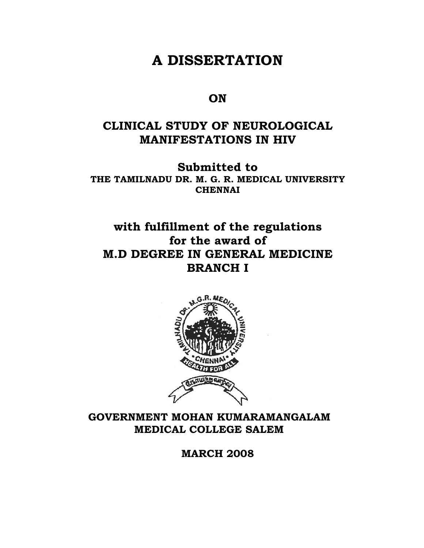# **A DISSERTATION**

## **ON**

## **CLINICAL STUDY OF NEUROLOGICAL MANIFESTATIONS IN HIV**

**Submitted to THE TAMILNADU DR. M. G. R. MEDICAL UNIVERSITY CHENNAI** 

## **with fulfillment of the regulations for the award of M.D DEGREE IN GENERAL MEDICINE BRANCH I**



## **GOVERNMENT MOHAN KUMARAMANGALAM MEDICAL COLLEGE SALEM**

**MARCH 2008**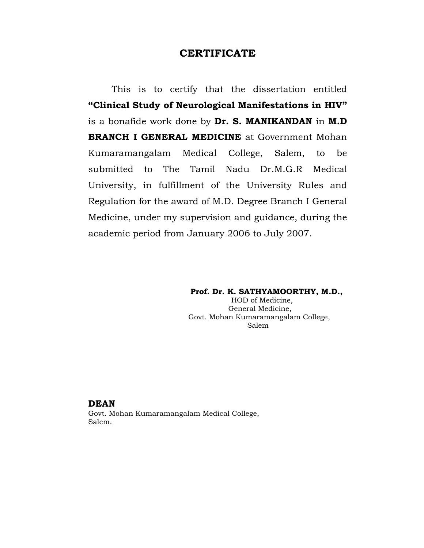## **CERTIFICATE**

This is to certify that the dissertation entitled **"Clinical Study of Neurological Manifestations in HIV"**  is a bonafide work done by **Dr. S. MANIKANDAN** in **M.D BRANCH I GENERAL MEDICINE** at Government Mohan Kumaramangalam Medical College, Salem, to be submitted to The Tamil Nadu Dr.M.G.R Medical University, in fulfillment of the University Rules and Regulation for the award of M.D. Degree Branch I General Medicine, under my supervision and guidance, during the academic period from January 2006 to July 2007.

#### **Prof. Dr. K. SATHYAMOORTHY, M.D.,**

 HOD of Medicine, General Medicine, Govt. Mohan Kumaramangalam College, Salem

#### **DEAN**

Govt. Mohan Kumaramangalam Medical College, Salem.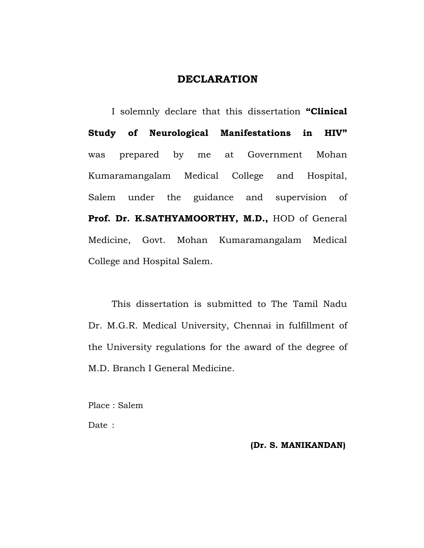## **DECLARATION**

 I solemnly declare that this dissertation **"Clinical Study of Neurological Manifestations in HIV"**  was prepared by me at Government Mohan Kumaramangalam Medical College and Hospital, Salem under the guidance and supervision of **Prof. Dr. K.SATHYAMOORTHY, M.D.,** HOD of General Medicine, Govt. Mohan Kumaramangalam Medical College and Hospital Salem.

 This dissertation is submitted to The Tamil Nadu Dr. M.G.R. Medical University, Chennai in fulfillment of the University regulations for the award of the degree of M.D. Branch I General Medicine.

Place : Salem

Date :

## **(Dr. S. MANIKANDAN)**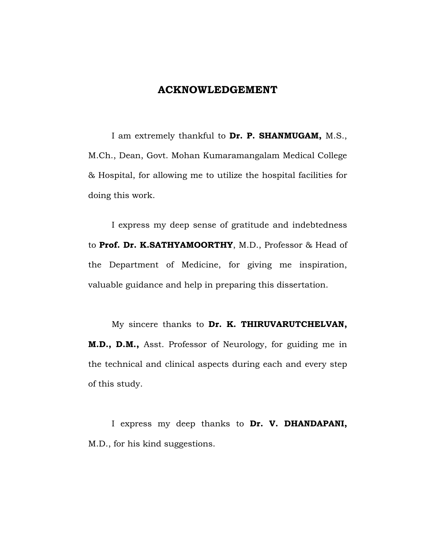## **ACKNOWLEDGEMENT**

 I am extremely thankful to **Dr. P. SHANMUGAM,** M.S., M.Ch., Dean, Govt. Mohan Kumaramangalam Medical College & Hospital, for allowing me to utilize the hospital facilities for doing this work.

 I express my deep sense of gratitude and indebtedness to **Prof. Dr. K.SATHYAMOORTHY**, M.D., Professor & Head of the Department of Medicine, for giving me inspiration, valuable guidance and help in preparing this dissertation.

 My sincere thanks to **Dr. K. THIRUVARUTCHELVAN, M.D., D.M.,** Asst. Professor of Neurology, for guiding me in the technical and clinical aspects during each and every step of this study.

 I express my deep thanks to **Dr. V. DHANDAPANI,**  M.D., for his kind suggestions.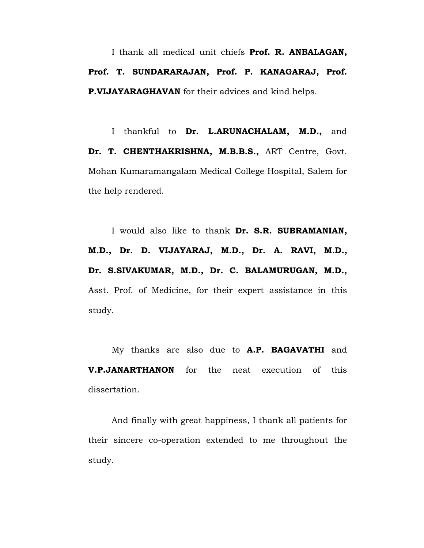I thank all medical unit chiefs **Prof. R. ANBALAGAN, Prof. T. SUNDARARAJAN, Prof. P. KANAGARAJ, Prof. P.VIJAYARAGHAVAN** for their advices and kind helps.

I thankful to **Dr. L.ARUNACHALAM, M.D.,** and **Dr. T. CHENTHAKRISHNA, M.B.B.S.,** ART Centre, Govt. Mohan Kumaramangalam Medical College Hospital, Salem for the help rendered.

 I would also like to thank **Dr. S.R. SUBRAMANIAN, M.D., Dr. D. VIJAYARAJ, M.D., Dr. A. RAVI, M.D., Dr. S.SIVAKUMAR, M.D., Dr. C. BALAMURUGAN, M.D.,**  Asst. Prof. of Medicine, for their expert assistance in this study.

 My thanks are also due to **A.P. BAGAVATHI** and **V.P.JANARTHANON** for the neat execution of this dissertation.

 And finally with great happiness, I thank all patients for their sincere co-operation extended to me throughout the study.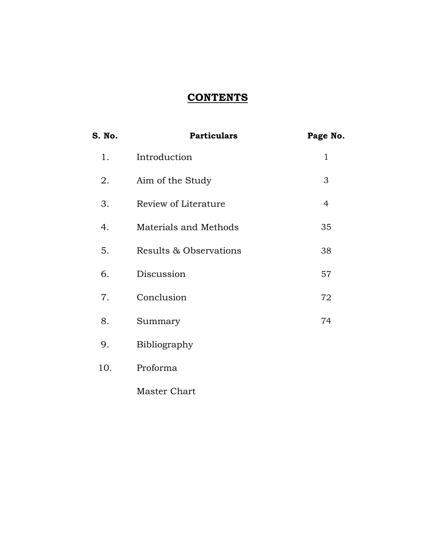## **CONTENTS**

| S. No. | <b>Particulars</b>     | Page No. |
|--------|------------------------|----------|
| 1.     | Introduction           | 1        |
| 2.     | Aim of the Study       | 3        |
| 3.     | Review of Literature   | 4        |
| 4.     | Materials and Methods  | 35       |
| 5.     | Results & Observations | 38       |
| 6.     | Discussion             | 57       |
| 7.     | Conclusion             | 72       |
| 8.     | Summary                | 74       |
| 9.     | Bibliography           |          |
| 10.    | Proforma               |          |
|        |                        |          |

Master Chart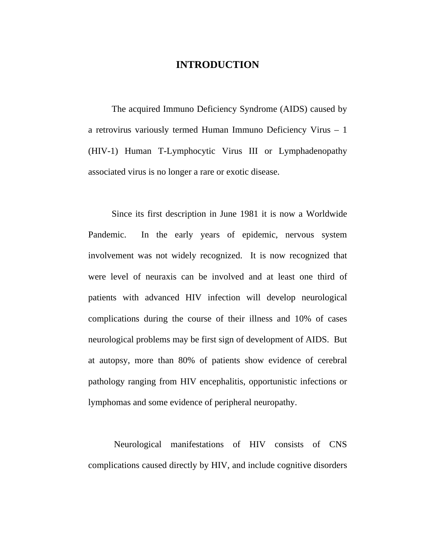## **INTRODUCTION**

The acquired Immuno Deficiency Syndrome (AIDS) caused by a retrovirus variously termed Human Immuno Deficiency Virus – 1 (HIV-1) Human T-Lymphocytic Virus III or Lymphadenopathy associated virus is no longer a rare or exotic disease.

Since its first description in June 1981 it is now a Worldwide Pandemic. In the early years of epidemic, nervous system involvement was not widely recognized. It is now recognized that were level of neuraxis can be involved and at least one third of patients with advanced HIV infection will develop neurological complications during the course of their illness and 10% of cases neurological problems may be first sign of development of AIDS. But at autopsy, more than 80% of patients show evidence of cerebral pathology ranging from HIV encephalitis, opportunistic infections or lymphomas and some evidence of peripheral neuropathy.

 Neurological manifestations of HIV consists of CNS complications caused directly by HIV, and include cognitive disorders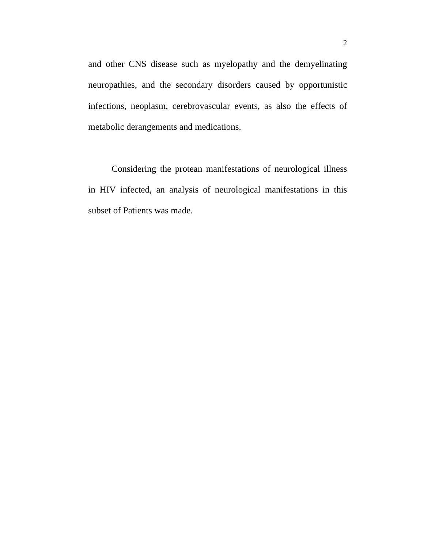and other CNS disease such as myelopathy and the demyelinating neuropathies, and the secondary disorders caused by opportunistic infections, neoplasm, cerebrovascular events, as also the effects of metabolic derangements and medications.

Considering the protean manifestations of neurological illness in HIV infected, an analysis of neurological manifestations in this subset of Patients was made.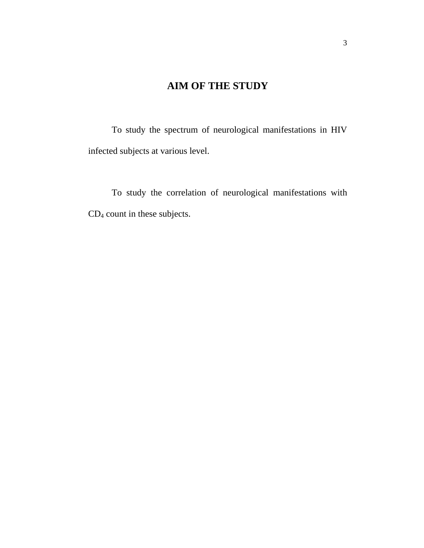## **AIM OF THE STUDY**

To study the spectrum of neurological manifestations in HIV infected subjects at various level.

To study the correlation of neurological manifestations with CD4 count in these subjects.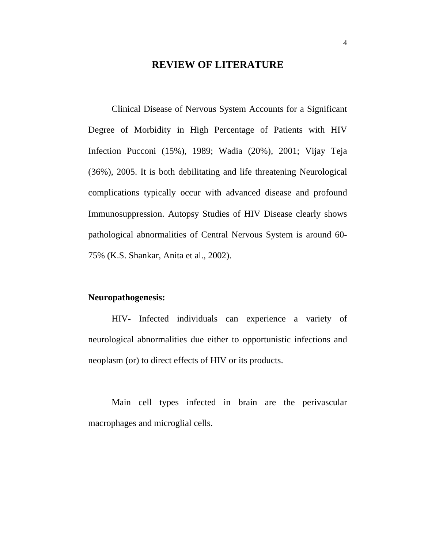## **REVIEW OF LITERATURE**

 Clinical Disease of Nervous System Accounts for a Significant Degree of Morbidity in High Percentage of Patients with HIV Infection Pucconi (15%), 1989; Wadia (20%), 2001; Vijay Teja (36%), 2005. It is both debilitating and life threatening Neurological complications typically occur with advanced disease and profound Immunosuppression. Autopsy Studies of HIV Disease clearly shows pathological abnormalities of Central Nervous System is around 60- 75% (K.S. Shankar, Anita et al., 2002).

## **Neuropathogenesis:**

 HIV- Infected individuals can experience a variety of neurological abnormalities due either to opportunistic infections and neoplasm (or) to direct effects of HIV or its products.

 Main cell types infected in brain are the perivascular macrophages and microglial cells.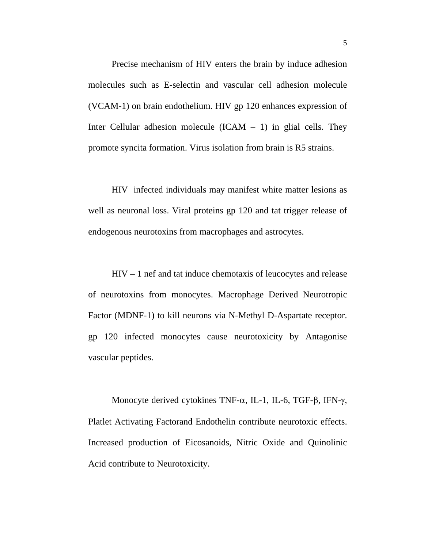Precise mechanism of HIV enters the brain by induce adhesion molecules such as E-selectin and vascular cell adhesion molecule (VCAM-1) on brain endothelium. HIV gp 120 enhances expression of Inter Cellular adhesion molecule  $(ICAM - 1)$  in glial cells. They promote syncita formation. Virus isolation from brain is R5 strains.

 HIV infected individuals may manifest white matter lesions as well as neuronal loss. Viral proteins gp 120 and tat trigger release of endogenous neurotoxins from macrophages and astrocytes.

 HIV – 1 nef and tat induce chemotaxis of leucocytes and release of neurotoxins from monocytes. Macrophage Derived Neurotropic Factor (MDNF-1) to kill neurons via N-Methyl D-Aspartate receptor. gp 120 infected monocytes cause neurotoxicity by Antagonise vascular peptides.

Monocyte derived cytokines TNF- $\alpha$ , IL-1, IL-6, TGF- $\beta$ , IFN- $\gamma$ , Platlet Activating Factorand Endothelin contribute neurotoxic effects. Increased production of Eicosanoids, Nitric Oxide and Quinolinic Acid contribute to Neurotoxicity.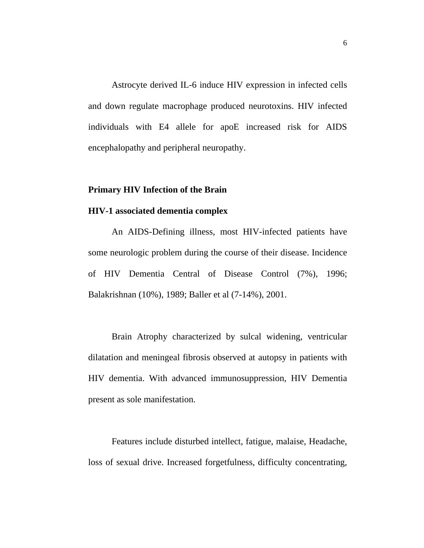Astrocyte derived IL-6 induce HIV expression in infected cells and down regulate macrophage produced neurotoxins. HIV infected individuals with E4 allele for apoE increased risk for AIDS encephalopathy and peripheral neuropathy.

## **Primary HIV Infection of the Brain**

## **HIV-1 associated dementia complex**

 An AIDS-Defining illness, most HIV-infected patients have some neurologic problem during the course of their disease. Incidence of HIV Dementia Central of Disease Control (7%), 1996; Balakrishnan (10%), 1989; Baller et al (7-14%), 2001.

 Brain Atrophy characterized by sulcal widening, ventricular dilatation and meningeal fibrosis observed at autopsy in patients with HIV dementia. With advanced immunosuppression, HIV Dementia present as sole manifestation.

 Features include disturbed intellect, fatigue, malaise, Headache, loss of sexual drive. Increased forgetfulness, difficulty concentrating,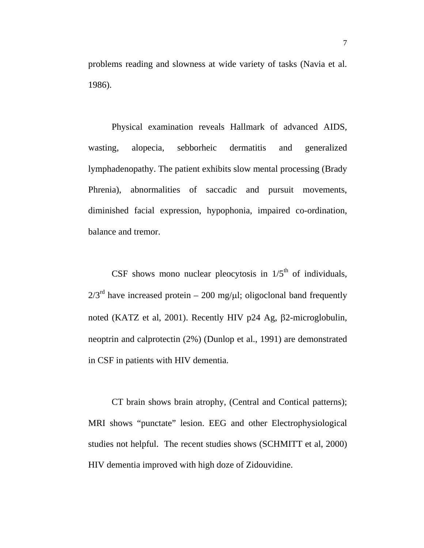problems reading and slowness at wide variety of tasks (Navia et al. 1986).

 Physical examination reveals Hallmark of advanced AIDS, wasting, alopecia, sebborheic dermatitis and generalized lymphadenopathy. The patient exhibits slow mental processing (Brady Phrenia), abnormalities of saccadic and pursuit movements, diminished facial expression, hypophonia, impaired co-ordination, balance and tremor.

CSF shows mono nuclear pleocytosis in  $1/5<sup>th</sup>$  of individuals,  $2/3<sup>rd</sup>$  have increased protein – 200 mg/ $\mu$ l; oligoclonal band frequently noted (KATZ et al, 2001). Recently HIV p24 Ag, β2-microglobulin, neoptrin and calprotectin (2%) (Dunlop et al., 1991) are demonstrated in CSF in patients with HIV dementia.

 CT brain shows brain atrophy, (Central and Contical patterns); MRI shows "punctate" lesion. EEG and other Electrophysiological studies not helpful. The recent studies shows (SCHMITT et al, 2000) HIV dementia improved with high doze of Zidouvidine.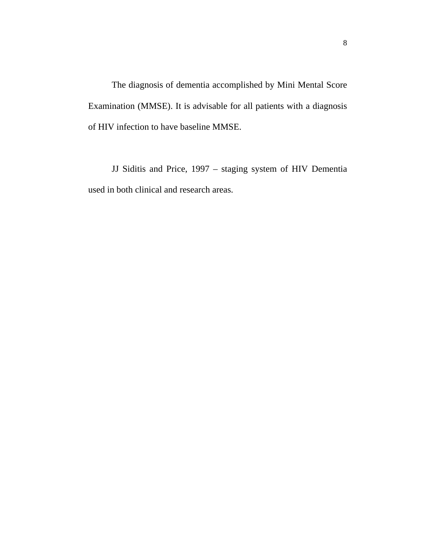The diagnosis of dementia accomplished by Mini Mental Score Examination (MMSE). It is advisable for all patients with a diagnosis of HIV infection to have baseline MMSE.

 JJ Siditis and Price, 1997 – staging system of HIV Dementia used in both clinical and research areas.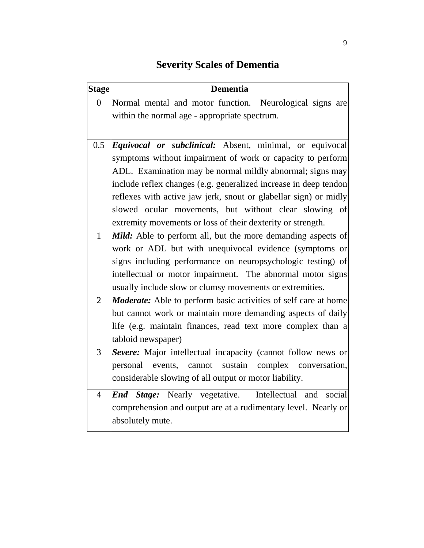# **Severity Scales of Dementia**

| <b>Dementia</b>                                                                                                                                                                                                                                 |  |  |                                                                                   |  |
|-------------------------------------------------------------------------------------------------------------------------------------------------------------------------------------------------------------------------------------------------|--|--|-----------------------------------------------------------------------------------|--|
| Normal mental and motor function. Neurological signs are                                                                                                                                                                                        |  |  |                                                                                   |  |
| within the normal age - appropriate spectrum.                                                                                                                                                                                                   |  |  |                                                                                   |  |
|                                                                                                                                                                                                                                                 |  |  |                                                                                   |  |
| 0.5<br><i>Equivocal or subclinical:</i> Absent, minimal, or equivocal<br>symptoms without impairment of work or capacity to perform                                                                                                             |  |  |                                                                                   |  |
|                                                                                                                                                                                                                                                 |  |  | ADL. Examination may be normal mildly abnormal; signs may                         |  |
| include reflex changes (e.g. generalized increase in deep tendon<br>reflexes with active jaw jerk, snout or glabellar sign) or midly                                                                                                            |  |  |                                                                                   |  |
|                                                                                                                                                                                                                                                 |  |  | slowed ocular movements, but without clear slowing of                             |  |
| extremity movements or loss of their dexterity or strength.                                                                                                                                                                                     |  |  |                                                                                   |  |
| Mild: Able to perform all, but the more demanding aspects of                                                                                                                                                                                    |  |  |                                                                                   |  |
| work or ADL but with unequivocal evidence (symptoms or<br>signs including performance on neuropsychologic testing) of<br>intellectual or motor impairment. The abnormal motor signs<br>usually include slow or clumsy movements or extremities. |  |  |                                                                                   |  |
|                                                                                                                                                                                                                                                 |  |  | $\overline{2}$<br>Moderate: Able to perform basic activities of self care at home |  |
|                                                                                                                                                                                                                                                 |  |  | but cannot work or maintain more demanding aspects of daily                       |  |
|                                                                                                                                                                                                                                                 |  |  | life (e.g. maintain finances, read text more complex than a                       |  |
| tabloid newspaper)                                                                                                                                                                                                                              |  |  |                                                                                   |  |
| Severe: Major intellectual incapacity (cannot follow news or                                                                                                                                                                                    |  |  |                                                                                   |  |
| personal events, cannot sustain complex conversation,                                                                                                                                                                                           |  |  |                                                                                   |  |
| considerable slowing of all output or motor liability.                                                                                                                                                                                          |  |  |                                                                                   |  |
| <b>End Stage:</b> Nearly vegetative. Intellectual and<br>social                                                                                                                                                                                 |  |  |                                                                                   |  |
| comprehension and output are at a rudimentary level. Nearly or                                                                                                                                                                                  |  |  |                                                                                   |  |
|                                                                                                                                                                                                                                                 |  |  |                                                                                   |  |
| <b>Stage</b>                                                                                                                                                                                                                                    |  |  |                                                                                   |  |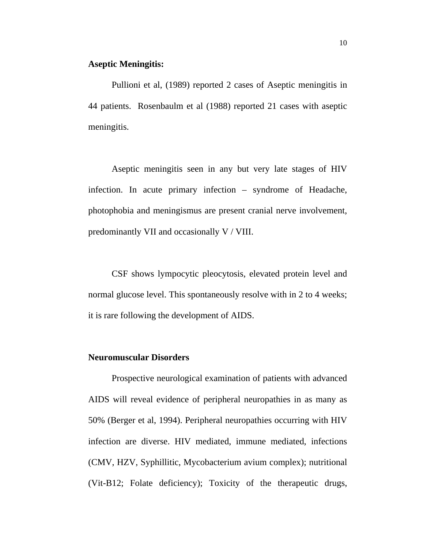#### **Aseptic Meningitis:**

 Pullioni et al, (1989) reported 2 cases of Aseptic meningitis in 44 patients. Rosenbaulm et al (1988) reported 21 cases with aseptic meningitis.

Aseptic meningitis seen in any but very late stages of HIV infection. In acute primary infection – syndrome of Headache, photophobia and meningismus are present cranial nerve involvement, predominantly VII and occasionally V / VIII.

CSF shows lympocytic pleocytosis, elevated protein level and normal glucose level. This spontaneously resolve with in 2 to 4 weeks; it is rare following the development of AIDS.

## **Neuromuscular Disorders**

 Prospective neurological examination of patients with advanced AIDS will reveal evidence of peripheral neuropathies in as many as 50% (Berger et al, 1994). Peripheral neuropathies occurring with HIV infection are diverse. HIV mediated, immune mediated, infections (CMV, HZV, Syphillitic, Mycobacterium avium complex); nutritional (Vit-B12; Folate deficiency); Toxicity of the therapeutic drugs,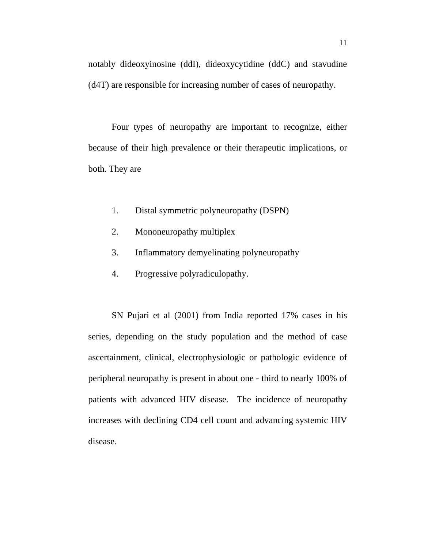notably dideoxyinosine (ddI), dideoxycytidine (ddC) and stavudine (d4T) are responsible for increasing number of cases of neuropathy.

 Four types of neuropathy are important to recognize, either because of their high prevalence or their therapeutic implications, or both. They are

- 1. Distal symmetric polyneuropathy (DSPN)
- 2. Mononeuropathy multiplex
- 3. Inflammatory demyelinating polyneuropathy
- 4. Progressive polyradiculopathy.

SN Pujari et al (2001) from India reported 17% cases in his series, depending on the study population and the method of case ascertainment, clinical, electrophysiologic or pathologic evidence of peripheral neuropathy is present in about one - third to nearly 100% of patients with advanced HIV disease. The incidence of neuropathy increases with declining CD4 cell count and advancing systemic HIV disease.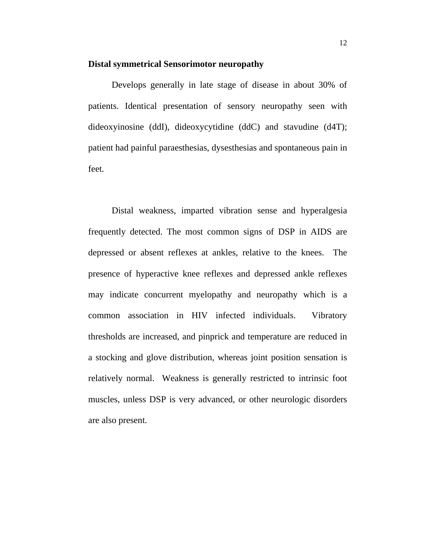#### **Distal symmetrical Sensorimotor neuropathy**

 Develops generally in late stage of disease in about 30% of patients. Identical presentation of sensory neuropathy seen with dideoxyinosine (ddI), dideoxycytidine (ddC) and stavudine (d4T); patient had painful paraesthesias, dysesthesias and spontaneous pain in feet.

 Distal weakness, imparted vibration sense and hyperalgesia frequently detected. The most common signs of DSP in AIDS are depressed or absent reflexes at ankles, relative to the knees. The presence of hyperactive knee reflexes and depressed ankle reflexes may indicate concurrent myelopathy and neuropathy which is a common association in HIV infected individuals. Vibratory thresholds are increased, and pinprick and temperature are reduced in a stocking and glove distribution, whereas joint position sensation is relatively normal. Weakness is generally restricted to intrinsic foot muscles, unless DSP is very advanced, or other neurologic disorders are also present.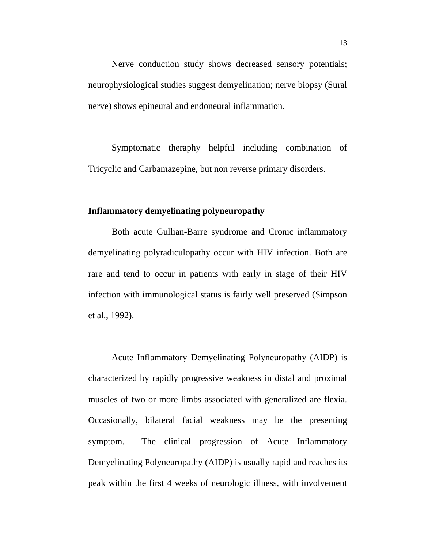Nerve conduction study shows decreased sensory potentials; neurophysiological studies suggest demyelination; nerve biopsy (Sural nerve) shows epineural and endoneural inflammation.

 Symptomatic theraphy helpful including combination of Tricyclic and Carbamazepine, but non reverse primary disorders.

## **Inflammatory demyelinating polyneuropathy**

 Both acute Gullian-Barre syndrome and Cronic inflammatory demyelinating polyradiculopathy occur with HIV infection. Both are rare and tend to occur in patients with early in stage of their HIV infection with immunological status is fairly well preserved (Simpson et al., 1992).

Acute Inflammatory Demyelinating Polyneuropathy (AIDP) is characterized by rapidly progressive weakness in distal and proximal muscles of two or more limbs associated with generalized are flexia. Occasionally, bilateral facial weakness may be the presenting symptom. The clinical progression of Acute Inflammatory Demyelinating Polyneuropathy (AIDP) is usually rapid and reaches its peak within the first 4 weeks of neurologic illness, with involvement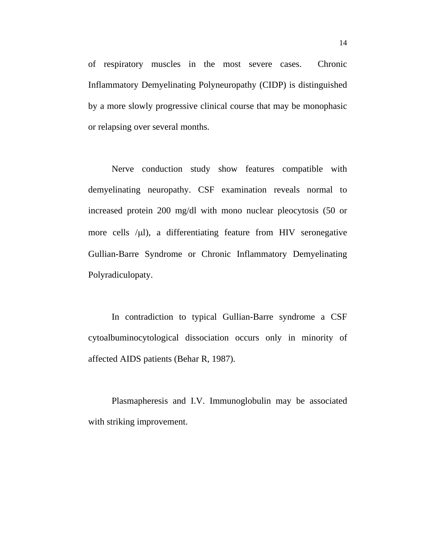of respiratory muscles in the most severe cases. Chronic Inflammatory Demyelinating Polyneuropathy (CIDP) is distinguished by a more slowly progressive clinical course that may be monophasic or relapsing over several months.

 Nerve conduction study show features compatible with demyelinating neuropathy. CSF examination reveals normal to increased protein 200 mg/dl with mono nuclear pleocytosis (50 or more cells  $\mu$ l), a differentiating feature from HIV seronegative Gullian-Barre Syndrome or Chronic Inflammatory Demyelinating Polyradiculopaty.

In contradiction to typical Gullian-Barre syndrome a CSF cytoalbuminocytological dissociation occurs only in minority of affected AIDS patients (Behar R, 1987).

Plasmapheresis and I.V. Immunoglobulin may be associated with striking improvement.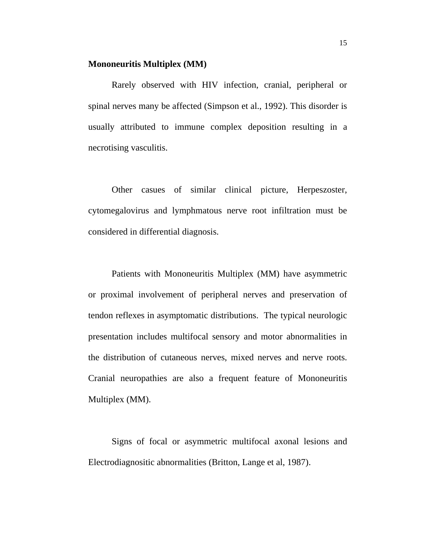#### **Mononeuritis Multiplex (MM)**

 Rarely observed with HIV infection, cranial, peripheral or spinal nerves many be affected (Simpson et al., 1992). This disorder is usually attributed to immune complex deposition resulting in a necrotising vasculitis.

 Other casues of similar clinical picture, Herpeszoster, cytomegalovirus and lymphmatous nerve root infiltration must be considered in differential diagnosis.

Patients with Mononeuritis Multiplex (MM) have asymmetric or proximal involvement of peripheral nerves and preservation of tendon reflexes in asymptomatic distributions. The typical neurologic presentation includes multifocal sensory and motor abnormalities in the distribution of cutaneous nerves, mixed nerves and nerve roots. Cranial neuropathies are also a frequent feature of Mononeuritis Multiplex (MM).

 Signs of focal or asymmetric multifocal axonal lesions and Electrodiagnositic abnormalities (Britton, Lange et al, 1987).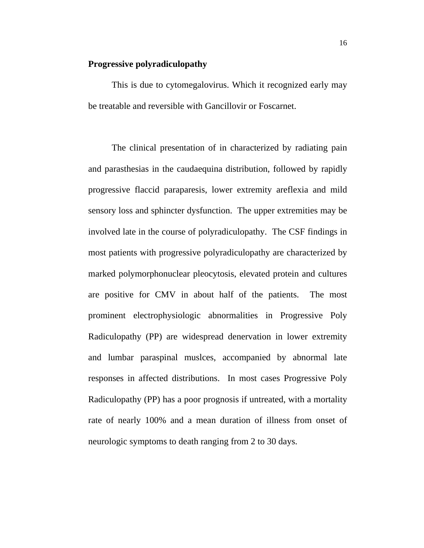#### **Progressive polyradiculopathy**

 This is due to cytomegalovirus. Which it recognized early may be treatable and reversible with Gancillovir or Foscarnet.

The clinical presentation of in characterized by radiating pain and parasthesias in the caudaequina distribution, followed by rapidly progressive flaccid paraparesis, lower extremity areflexia and mild sensory loss and sphincter dysfunction. The upper extremities may be involved late in the course of polyradiculopathy. The CSF findings in most patients with progressive polyradiculopathy are characterized by marked polymorphonuclear pleocytosis, elevated protein and cultures are positive for CMV in about half of the patients. The most prominent electrophysiologic abnormalities in Progressive Poly Radiculopathy (PP) are widespread denervation in lower extremity and lumbar paraspinal muslces, accompanied by abnormal late responses in affected distributions. In most cases Progressive Poly Radiculopathy (PP) has a poor prognosis if untreated, with a mortality rate of nearly 100% and a mean duration of illness from onset of neurologic symptoms to death ranging from 2 to 30 days.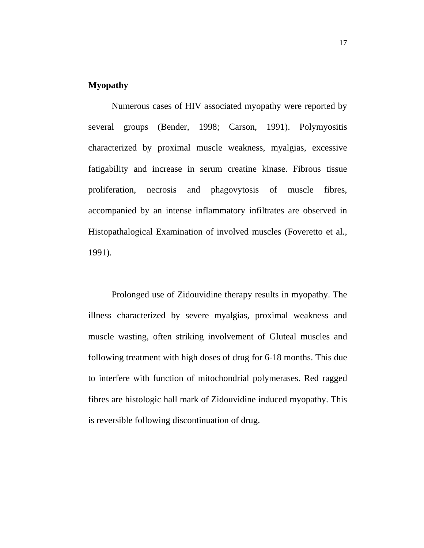## **Myopathy**

 Numerous cases of HIV associated myopathy were reported by several groups (Bender, 1998; Carson, 1991). Polymyositis characterized by proximal muscle weakness, myalgias, excessive fatigability and increase in serum creatine kinase. Fibrous tissue proliferation, necrosis and phagovytosis of muscle fibres, accompanied by an intense inflammatory infiltrates are observed in Histopathalogical Examination of involved muscles (Foveretto et al., 1991).

Prolonged use of Zidouvidine therapy results in myopathy. The illness characterized by severe myalgias, proximal weakness and muscle wasting, often striking involvement of Gluteal muscles and following treatment with high doses of drug for 6-18 months. This due to interfere with function of mitochondrial polymerases. Red ragged fibres are histologic hall mark of Zidouvidine induced myopathy. This is reversible following discontinuation of drug.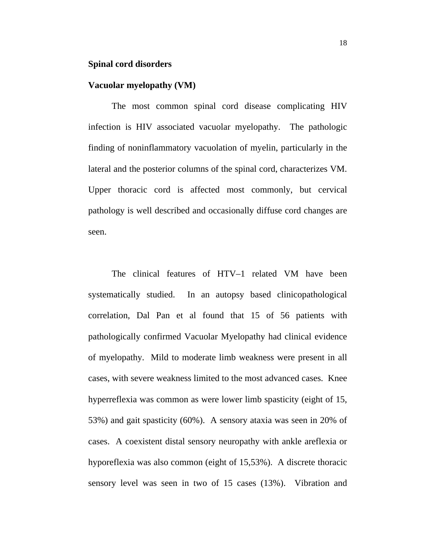## **Spinal cord disorders**

## **Vacuolar myelopathy (VM)**

The most common spinal cord disease complicating HIV infection is HIV associated vacuolar myelopathy. The pathologic finding of noninflammatory vacuolation of myelin, particularly in the lateral and the posterior columns of the spinal cord, characterizes VM. Upper thoracic cord is affected most commonly, but cervical pathology is well described and occasionally diffuse cord changes are seen.

The clinical features of HTV–1 related VM have been systematically studied. In an autopsy based clinicopathological correlation, Dal Pan et al found that 15 of 56 patients with pathologically confirmed Vacuolar Myelopathy had clinical evidence of myelopathy. Mild to moderate limb weakness were present in all cases, with severe weakness limited to the most advanced cases. Knee hyperreflexia was common as were lower limb spasticity (eight of 15, 53%) and gait spasticity (60%). A sensory ataxia was seen in 20% of cases. A coexistent distal sensory neuropathy with ankle areflexia or hyporeflexia was also common (eight of 15,53%). A discrete thoracic sensory level was seen in two of 15 cases (13%). Vibration and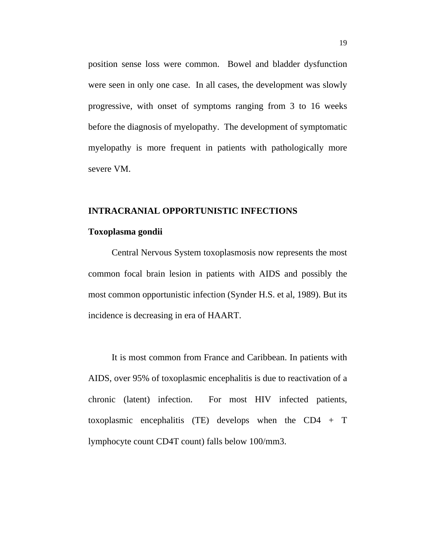position sense loss were common. Bowel and bladder dysfunction were seen in only one case. In all cases, the development was slowly progressive, with onset of symptoms ranging from 3 to 16 weeks before the diagnosis of myelopathy. The development of symptomatic myelopathy is more frequent in patients with pathologically more severe VM.

## **INTRACRANIAL OPPORTUNISTIC INFECTIONS**

#### **Toxoplasma gondii**

Central Nervous System toxoplasmosis now represents the most common focal brain lesion in patients with AIDS and possibly the most common opportunistic infection (Synder H.S. et al, 1989). But its incidence is decreasing in era of HAART.

 It is most common from France and Caribbean. In patients with AIDS, over 95% of toxoplasmic encephalitis is due to reactivation of a chronic (latent) infection. For most HIV infected patients, toxoplasmic encephalitis (TE) develops when the CD4 + T lymphocyte count CD4T count) falls below 100/mm3.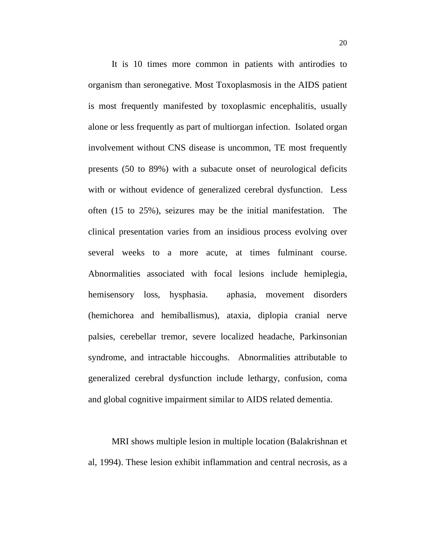It is 10 times more common in patients with antirodies to organism than seronegative. Most Toxoplasmosis in the AIDS patient is most frequently manifested by toxoplasmic encephalitis, usually alone or less frequently as part of multiorgan infection. Isolated organ involvement without CNS disease is uncommon, TE most frequently presents (50 to 89%) with a subacute onset of neurological deficits with or without evidence of generalized cerebral dysfunction. Less often (15 to 25%), seizures may be the initial manifestation. The clinical presentation varies from an insidious process evolving over several weeks to a more acute, at times fulminant course. Abnormalities associated with focal lesions include hemiplegia, hemisensory loss, hysphasia. aphasia, movement disorders (hemichorea and hemiballismus), ataxia, diplopia cranial nerve palsies, cerebellar tremor, severe localized headache, Parkinsonian syndrome, and intractable hiccoughs. Abnormalities attributable to generalized cerebral dysfunction include lethargy, confusion, coma and global cognitive impairment similar to AIDS related dementia.

 MRI shows multiple lesion in multiple location (Balakrishnan et al, 1994). These lesion exhibit inflammation and central necrosis, as a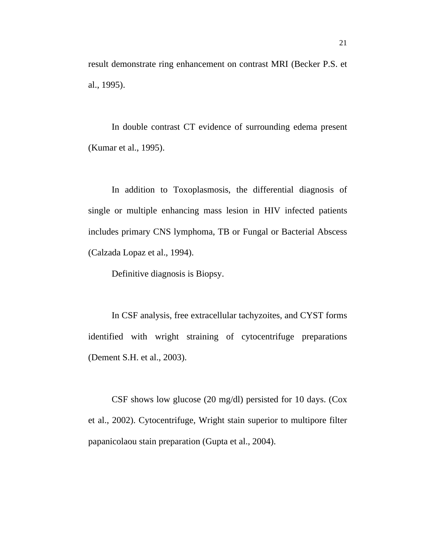result demonstrate ring enhancement on contrast MRI (Becker P.S. et al., 1995).

 In double contrast CT evidence of surrounding edema present (Kumar et al., 1995).

 In addition to Toxoplasmosis, the differential diagnosis of single or multiple enhancing mass lesion in HIV infected patients includes primary CNS lymphoma, TB or Fungal or Bacterial Abscess (Calzada Lopaz et al., 1994).

Definitive diagnosis is Biopsy.

In CSF analysis, free extracellular tachyzoites, and CYST forms identified with wright straining of cytocentrifuge preparations (Dement S.H. et al., 2003).

CSF shows low glucose (20 mg/dl) persisted for 10 days. (Cox et al., 2002). Cytocentrifuge, Wright stain superior to multipore filter papanicolaou stain preparation (Gupta et al., 2004).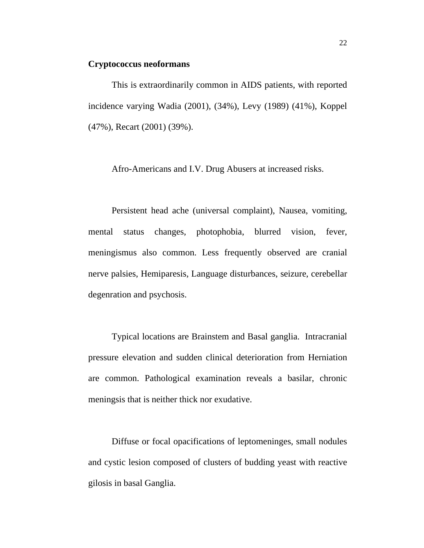#### **Cryptococcus neoformans**

 This is extraordinarily common in AIDS patients, with reported incidence varying Wadia (2001), (34%), Levy (1989) (41%), Koppel (47%), Recart (2001) (39%).

Afro-Americans and I.V. Drug Abusers at increased risks.

 Persistent head ache (universal complaint), Nausea, vomiting, mental status changes, photophobia, blurred vision, fever, meningismus also common. Less frequently observed are cranial nerve palsies, Hemiparesis, Language disturbances, seizure, cerebellar degenration and psychosis.

 Typical locations are Brainstem and Basal ganglia. Intracranial pressure elevation and sudden clinical deterioration from Herniation are common. Pathological examination reveals a basilar, chronic meningsis that is neither thick nor exudative.

 Diffuse or focal opacifications of leptomeninges, small nodules and cystic lesion composed of clusters of budding yeast with reactive gilosis in basal Ganglia.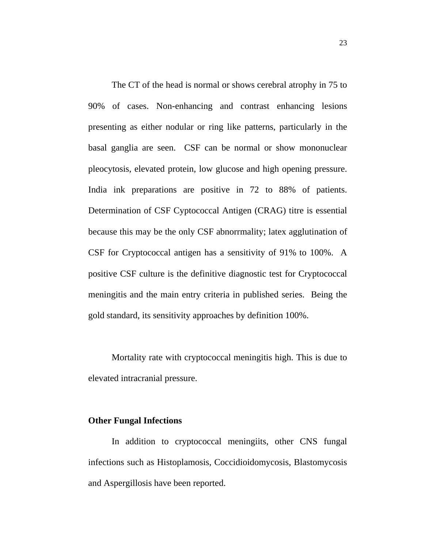The CT of the head is normal or shows cerebral atrophy in 75 to 90% of cases. Non-enhancing and contrast enhancing lesions presenting as either nodular or ring like patterns, particularly in the basal ganglia are seen. CSF can be normal or show mononuclear pleocytosis, elevated protein, low glucose and high opening pressure. India ink preparations are positive in 72 to 88% of patients. Determination of CSF Cyptococcal Antigen (CRAG) titre is essential because this may be the only CSF abnorrmality; latex agglutination of CSF for Cryptococcal antigen has a sensitivity of 91% to 100%. A positive CSF culture is the definitive diagnostic test for Cryptococcal meningitis and the main entry criteria in published series. Being the gold standard, its sensitivity approaches by definition 100%.

Mortality rate with cryptococcal meningitis high. This is due to elevated intracranial pressure.

## **Other Fungal Infections**

In addition to cryptococcal meningiits, other CNS fungal infections such as Histoplamosis, Coccidioidomycosis, Blastomycosis and Aspergillosis have been reported.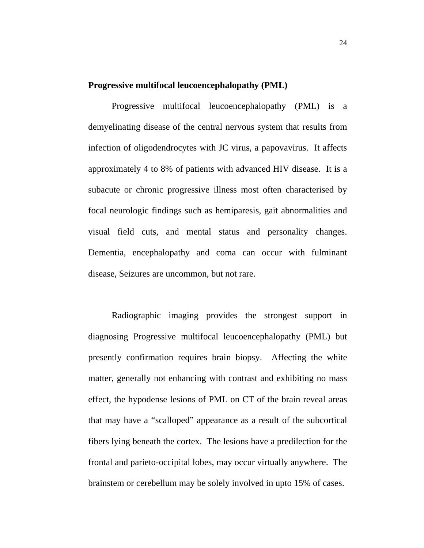## **Progressive multifocal leucoencephalopathy (PML)**

Progressive multifocal leucoencephalopathy (PML) is a demyelinating disease of the central nervous system that results from infection of oligodendrocytes with JC virus, a papovavirus. It affects approximately 4 to 8% of patients with advanced HIV disease. It is a subacute or chronic progressive illness most often characterised by focal neurologic findings such as hemiparesis, gait abnormalities and visual field cuts, and mental status and personality changes. Dementia, encephalopathy and coma can occur with fulminant disease, Seizures are uncommon, but not rare.

Radiographic imaging provides the strongest support in diagnosing Progressive multifocal leucoencephalopathy (PML) but presently confirmation requires brain biopsy. Affecting the white matter, generally not enhancing with contrast and exhibiting no mass effect, the hypodense lesions of PML on CT of the brain reveal areas that may have a "scalloped" appearance as a result of the subcortical fibers lying beneath the cortex. The lesions have a predilection for the frontal and parieto-occipital lobes, may occur virtually anywhere. The brainstem or cerebellum may be solely involved in upto 15% of cases.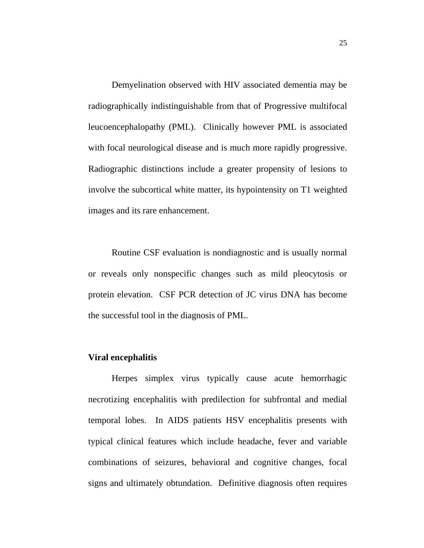Demyelination observed with HIV associated dementia may be radiographically indistinguishable from that of Progressive multifocal leucoencephalopathy (PML). Clinically however PML is associated with focal neurological disease and is much more rapidly progressive. Radiographic distinctions include a greater propensity of lesions to involve the subcortical white matter, its hypointensity on T1 weighted images and its rare enhancement.

Routine CSF evaluation is nondiagnostic and is usually normal or reveals only nonspecific changes such as mild pleocytosis or protein elevation. CSF PCR detection of JC virus DNA has become the successful tool in the diagnosis of PML.

## **Viral encephalitis**

Herpes simplex virus typically cause acute hemorrhagic necrotizing encephalitis with predilection for subfrontal and medial temporal lobes. In AIDS patients HSV encephalitis presents with typical clinical features which include headache, fever and variable combinations of seizures, behavioral and cognitive changes, focal signs and ultimately obtundation. Definitive diagnosis often requires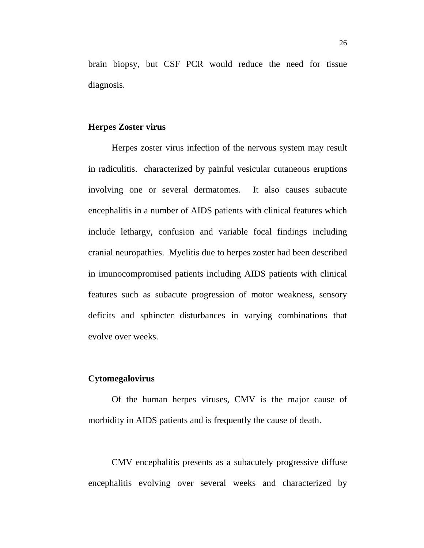brain biopsy, but CSF PCR would reduce the need for tissue diagnosis.

## **Herpes Zoster virus**

Herpes zoster virus infection of the nervous system may result in radiculitis. characterized by painful vesicular cutaneous eruptions involving one or several dermatomes. It also causes subacute encephalitis in a number of AIDS patients with clinical features which include lethargy, confusion and variable focal findings including cranial neuropathies. Myelitis due to herpes zoster had been described in imunocompromised patients including AIDS patients with clinical features such as subacute progression of motor weakness, sensory deficits and sphincter disturbances in varying combinations that evolve over weeks.

### **Cytomegalovirus**

Of the human herpes viruses, CMV is the major cause of morbidity in AIDS patients and is frequently the cause of death.

CMV encephalitis presents as a subacutely progressive diffuse encephalitis evolving over several weeks and characterized by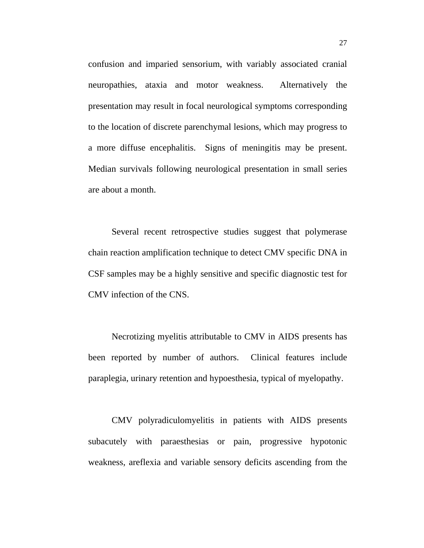confusion and imparied sensorium, with variably associated cranial neuropathies, ataxia and motor weakness. Alternatively the presentation may result in focal neurological symptoms corresponding to the location of discrete parenchymal lesions, which may progress to a more diffuse encephalitis. Signs of meningitis may be present. Median survivals following neurological presentation in small series are about a month.

Several recent retrospective studies suggest that polymerase chain reaction amplification technique to detect CMV specific DNA in CSF samples may be a highly sensitive and specific diagnostic test for CMV infection of the CNS.

Necrotizing myelitis attributable to CMV in AIDS presents has been reported by number of authors. Clinical features include paraplegia, urinary retention and hypoesthesia, typical of myelopathy.

CMV polyradiculomyelitis in patients with AIDS presents subacutely with paraesthesias or pain, progressive hypotonic weakness, areflexia and variable sensory deficits ascending from the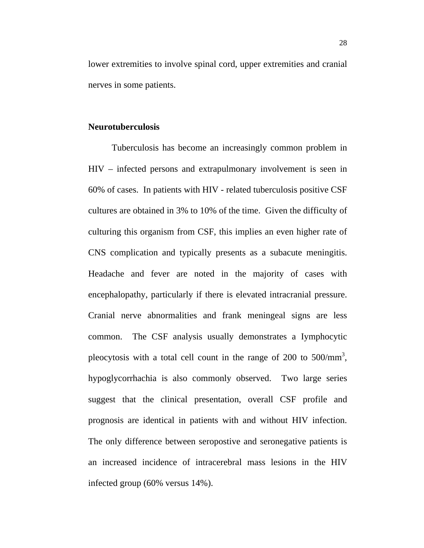lower extremities to involve spinal cord, upper extremities and cranial nerves in some patients.

## **Neurotuberculosis**

Tuberculosis has become an increasingly common problem in HIV – infected persons and extrapulmonary involvement is seen in 60% of cases. In patients with HIV - related tuberculosis positive CSF cultures are obtained in 3% to 10% of the time. Given the difficulty of culturing this organism from CSF, this implies an even higher rate of CNS complication and typically presents as a subacute meningitis. Headache and fever are noted in the majority of cases with encephalopathy, particularly if there is elevated intracranial pressure. Cranial nerve abnormalities and frank meningeal signs are less common. The CSF analysis usually demonstrates a Iymphocytic pleocytosis with a total cell count in the range of 200 to  $500/\text{mm}^3$ , hypoglycorrhachia is also commonly observed. Two large series suggest that the clinical presentation, overall CSF profile and prognosis are identical in patients with and without HIV infection. The only difference between seropostive and seronegative patients is an increased incidence of intracerebral mass lesions in the HIV infected group (60% versus 14%).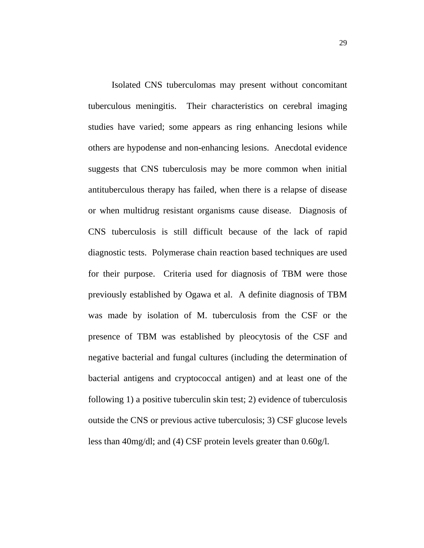Isolated CNS tuberculomas may present without concomitant tuberculous meningitis. Their characteristics on cerebral imaging studies have varied; some appears as ring enhancing lesions while others are hypodense and non-enhancing lesions. Anecdotal evidence suggests that CNS tuberculosis may be more common when initial antituberculous therapy has failed, when there is a relapse of disease or when multidrug resistant organisms cause disease. Diagnosis of CNS tuberculosis is still difficult because of the lack of rapid diagnostic tests. Polymerase chain reaction based techniques are used for their purpose. Criteria used for diagnosis of TBM were those previously established by Ogawa et al. A definite diagnosis of TBM was made by isolation of M. tuberculosis from the CSF or the presence of TBM was established by pleocytosis of the CSF and negative bacterial and fungal cultures (including the determination of bacterial antigens and cryptococcal antigen) and at least one of the following 1) a positive tuberculin skin test; 2) evidence of tuberculosis outside the CNS or previous active tuberculosis; 3) CSF glucose levels less than 40mg/dl; and (4) CSF protein levels greater than 0.60g/l.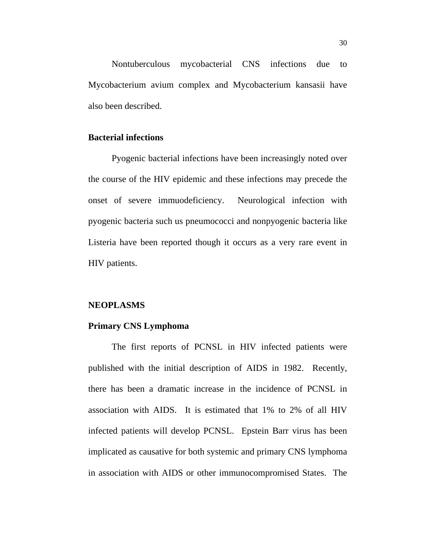Nontuberculous mycobacterial CNS infections due to Mycobacterium avium complex and Mycobacterium kansasii have also been described.

## **Bacterial infections**

Pyogenic bacterial infections have been increasingly noted over the course of the HIV epidemic and these infections may precede the onset of severe immuodeficiency. Neurological infection with pyogenic bacteria such us pneumococci and nonpyogenic bacteria like Listeria have been reported though it occurs as a very rare event in HIV patients.

#### **NEOPLASMS**

### **Primary CNS Lymphoma**

The first reports of PCNSL in HIV infected patients were published with the initial description of AIDS in 1982. Recently, there has been a dramatic increase in the incidence of PCNSL in association with AIDS. It is estimated that 1% to 2% of all HIV infected patients will develop PCNSL. Epstein Barr virus has been implicated as causative for both systemic and primary CNS lymphoma in association with AIDS or other immunocompromised States. The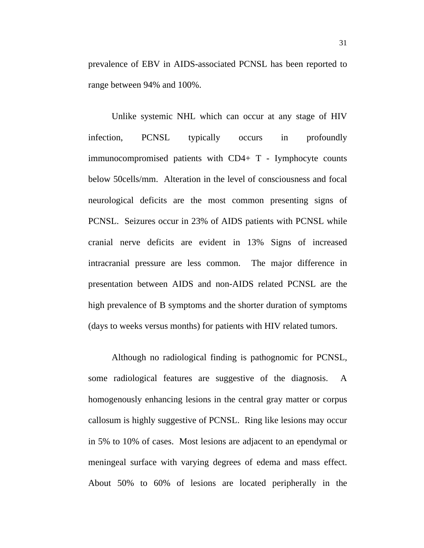prevalence of EBV in AIDS-associated PCNSL has been reported to range between 94% and 100%.

Unlike systemic NHL which can occur at any stage of HIV infection, PCNSL typically occurs in profoundly immunocompromised patients with CD4+ T - Iymphocyte counts below 50cells/mm. Alteration in the level of consciousness and focal neurological deficits are the most common presenting signs of PCNSL. Seizures occur in 23% of AIDS patients with PCNSL while cranial nerve deficits are evident in 13% Signs of increased intracranial pressure are less common. The major difference in presentation between AIDS and non-AIDS related PCNSL are the high prevalence of B symptoms and the shorter duration of symptoms (days to weeks versus months) for patients with HIV related tumors.

Although no radiological finding is pathognomic for PCNSL, some radiological features are suggestive of the diagnosis. A homogenously enhancing lesions in the central gray matter or corpus callosum is highly suggestive of PCNSL. Ring like lesions may occur in 5% to 10% of cases. Most lesions are adjacent to an ependymal or meningeal surface with varying degrees of edema and mass effect. About 50% to 60% of lesions are located peripherally in the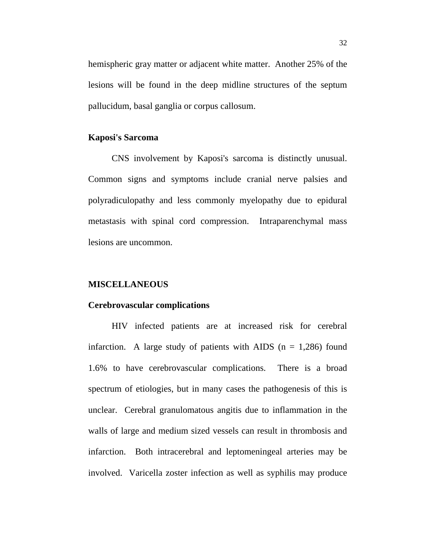hemispheric gray matter or adjacent white matter. Another 25% of the lesions will be found in the deep midline structures of the septum pallucidum, basal ganglia or corpus callosum.

#### **Kaposi's Sarcoma**

CNS involvement by Kaposi's sarcoma is distinctly unusual. Common signs and symptoms include cranial nerve palsies and polyradiculopathy and less commonly myelopathy due to epidural metastasis with spinal cord compression. Intraparenchymal mass lesions are uncommon.

#### **MISCELLANEOUS**

#### **Cerebrovascular complications**

HIV infected patients are at increased risk for cerebral infarction. A large study of patients with AIDS ( $n = 1,286$ ) found 1.6% to have cerebrovascular complications. There is a broad spectrum of etiologies, but in many cases the pathogenesis of this is unclear. Cerebral granulomatous angitis due to inflammation in the walls of large and medium sized vessels can result in thrombosis and infarction. Both intracerebral and leptomeningeal arteries may be involved. Varicella zoster infection as well as syphilis may produce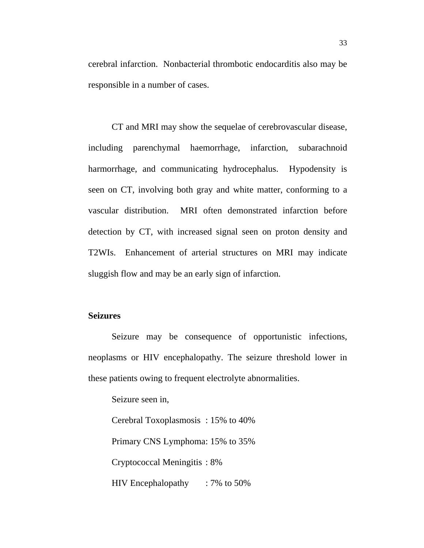cerebral infarction. Nonbacterial thrombotic endocarditis also may be responsible in a number of cases.

CT and MRI may show the sequelae of cerebrovascular disease, including parenchymal haemorrhage, infarction, subarachnoid harmorrhage, and communicating hydrocephalus. Hypodensity is seen on CT, involving both gray and white matter, conforming to a vascular distribution. MRI often demonstrated infarction before detection by CT, with increased signal seen on proton density and T2WIs. Enhancement of arterial structures on MRI may indicate sluggish flow and may be an early sign of infarction.

#### **Seizures**

 Seizure may be consequence of opportunistic infections, neoplasms or HIV encephalopathy. The seizure threshold lower in these patients owing to frequent electrolyte abnormalities.

Seizure seen in,

Cerebral Toxoplasmosis : 15% to 40%

Primary CNS Lymphoma: 15% to 35%

Cryptococcal Meningitis : 8%

HIV Encephalopathy : 7% to 50%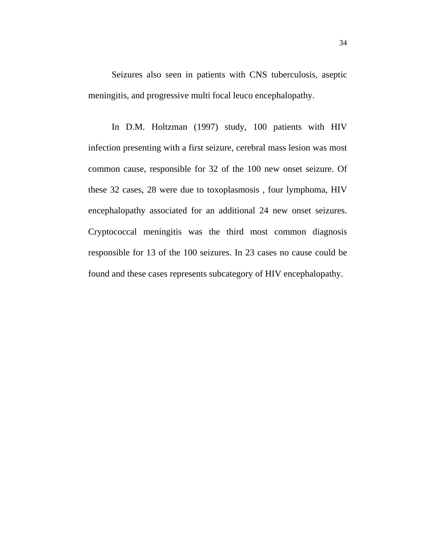Seizures also seen in patients with CNS tuberculosis, aseptic meningitis, and progressive multi focal leuco encephalopathy.

 In D.M. Holtzman (1997) study, 100 patients with HIV infection presenting with a first seizure, cerebral mass lesion was most common cause, responsible for 32 of the 100 new onset seizure. Of these 32 cases, 28 were due to toxoplasmosis , four lymphoma, HIV encephalopathy associated for an additional 24 new onset seizures. Cryptococcal meningitis was the third most common diagnosis responsible for 13 of the 100 seizures. In 23 cases no cause could be found and these cases represents subcategory of HIV encephalopathy.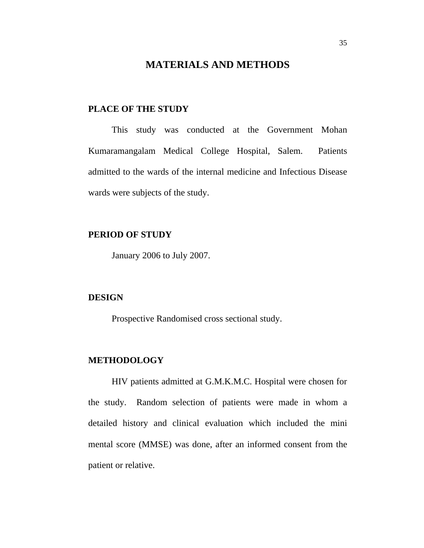### **MATERIALS AND METHODS**

#### **PLACE OF THE STUDY**

This study was conducted at the Government Mohan Kumaramangalam Medical College Hospital, Salem. Patients admitted to the wards of the internal medicine and Infectious Disease wards were subjects of the study.

#### **PERIOD OF STUDY**

January 2006 to July 2007.

#### **DESIGN**

Prospective Randomised cross sectional study.

#### **METHODOLOGY**

HIV patients admitted at G.M.K.M.C. Hospital were chosen for the study. Random selection of patients were made in whom a detailed history and clinical evaluation which included the mini mental score (MMSE) was done, after an informed consent from the patient or relative.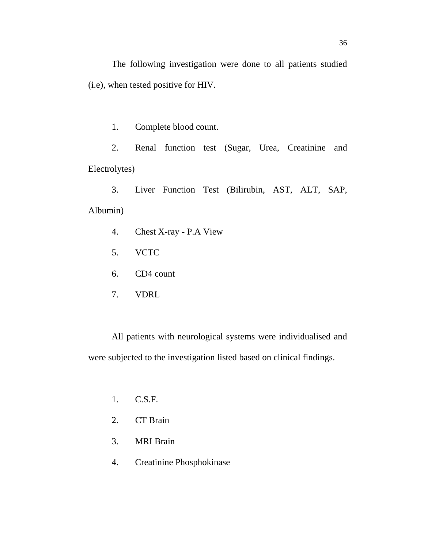The following investigation were done to all patients studied (i.e), when tested positive for HIV.

1. Complete blood count.

2. Renal function test (Sugar, Urea, Creatinine and Electrolytes)

3. Liver Function Test (Bilirubin, AST, ALT, SAP, Albumin)

- 4. Chest X-ray P.A View
- 5. VCTC
- 6. CD4 count
- 7. VDRL

All patients with neurological systems were individualised and were subjected to the investigation listed based on clinical findings.

- 1. C.S.F.
- 2. CT Brain
- 3. MRI Brain
- 4. Creatinine Phosphokinase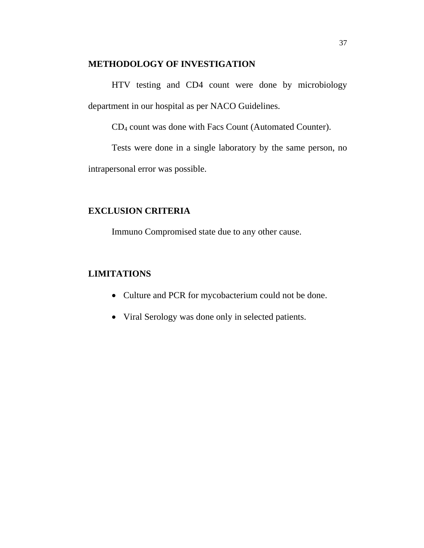#### **METHODOLOGY OF INVESTIGATION**

HTV testing and CD4 count were done by microbiology department in our hospital as per NACO Guidelines.

CD4 count was done with Facs Count (Automated Counter).

Tests were done in a single laboratory by the same person, no intrapersonal error was possible.

### **EXCLUSION CRITERIA**

Immuno Compromised state due to any other cause.

### **LIMITATIONS**

- Culture and PCR for mycobacterium could not be done.
- Viral Serology was done only in selected patients.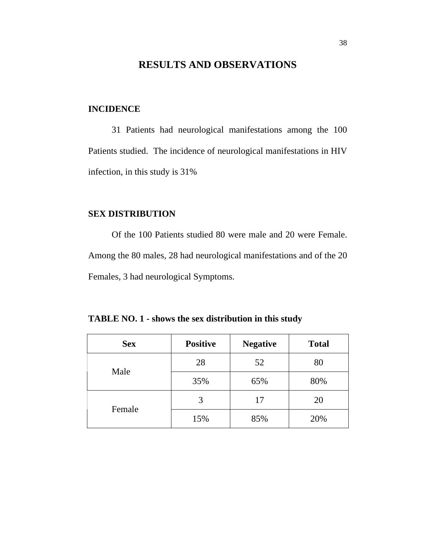### **RESULTS AND OBSERVATIONS**

#### **INCIDENCE**

31 Patients had neurological manifestations among the 100 Patients studied. The incidence of neurological manifestations in HIV infection, in this study is 31%

### **SEX DISTRIBUTION**

Of the 100 Patients studied 80 were male and 20 were Female. Among the 80 males, 28 had neurological manifestations and of the 20 Females, 3 had neurological Symptoms.

| <b>Sex</b> | <b>Positive</b> | <b>Negative</b> | <b>Total</b> |
|------------|-----------------|-----------------|--------------|
|            | 28              | 52              | 80           |
| Male       | 35%             | 65%             | 80%          |
|            | 3               | 17              | 20           |
| Female     | 15%             | 85%             | 20%          |

**TABLE NO. 1 - shows the sex distribution in this study**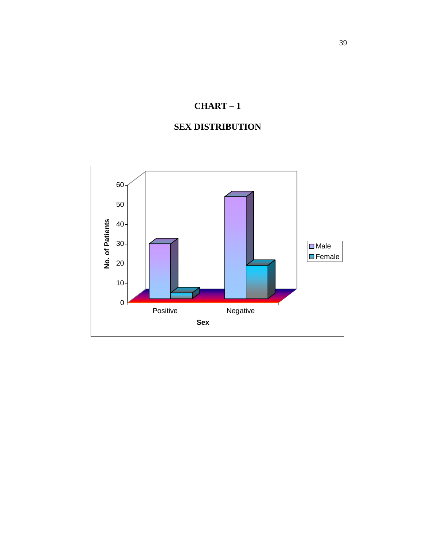# **SEX DISTRIBUTION**

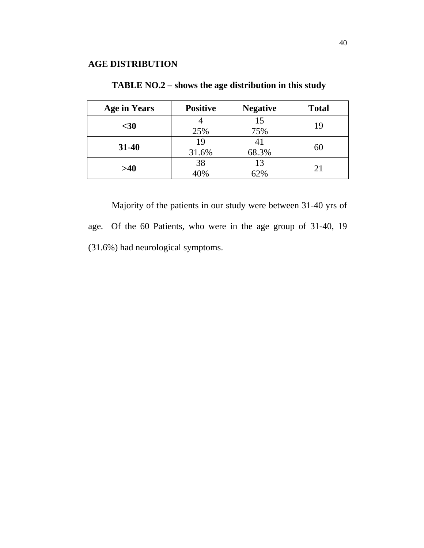| <b>Age in Years</b> | <b>Positive</b> | <b>Negative</b> | <b>Total</b> |
|---------------------|-----------------|-----------------|--------------|
| $30$                | 25%             | 15<br>75%       | 19           |
| $31 - 40$           | 19<br>31.6%     | 68.3%           | 60           |
| >40                 | 38<br>40%       | 13<br>62%       | 21           |

**TABLE NO.2 – shows the age distribution in this study**

Majority of the patients in our study were between 31-40 yrs of age. Of the 60 Patients, who were in the age group of 31-40, 19 (31.6%) had neurological symptoms.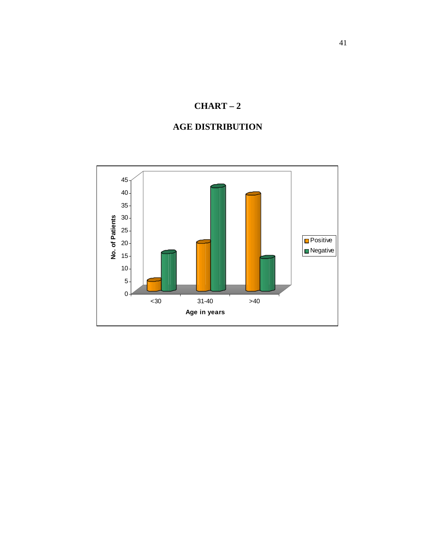### **AGE DISTRIBUTION**

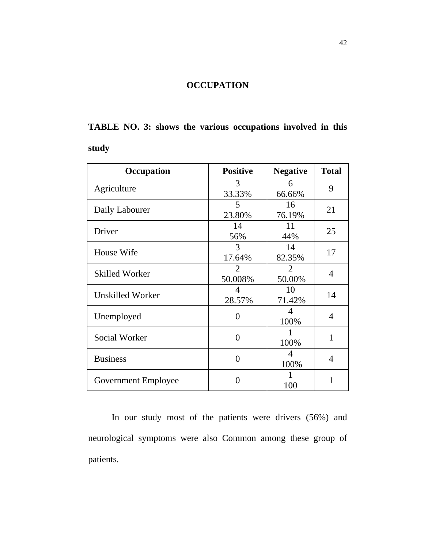### **OCCUPATION**

# **TABLE NO. 3: shows the various occupations involved in this study**

| Occupation            | <b>Positive</b>   | <b>Negative</b> | <b>Total</b>   |  |
|-----------------------|-------------------|-----------------|----------------|--|
| Agriculture           | 3                 | 6               | 9              |  |
|                       | 33.33%            | 66.66%          |                |  |
| Daily Labourer        | 5                 | 16              | 21             |  |
|                       | 23.80%            | 76.19%          |                |  |
| Driver                | 14                | 11              | 25             |  |
|                       | 56%               | 44%             |                |  |
| House Wife            | 3                 | 14              |                |  |
|                       | 17.64%            | 82.35%          | 17             |  |
|                       | 2                 | $\overline{2}$  | $\overline{4}$ |  |
| <b>Skilled Worker</b> | 50.008%           | 50.00%          |                |  |
| Unskilled Worker      | $\overline{4}$    | 10              | 14             |  |
|                       | 28.57%            | 71.42%          |                |  |
|                       | 0                 | 4               | $\overline{4}$ |  |
| Unemployed            |                   | 100%            |                |  |
| Social Worker         | $\Omega$          |                 | 1              |  |
|                       |                   | 100%            |                |  |
| <b>Business</b>       | 0                 | 4               | $\overline{4}$ |  |
|                       |                   | 100%            |                |  |
|                       | $\mathbf{\Omega}$ |                 | 1              |  |
| Government Employee   |                   | 100             |                |  |

In our study most of the patients were drivers (56%) and neurological symptoms were also Common among these group of patients.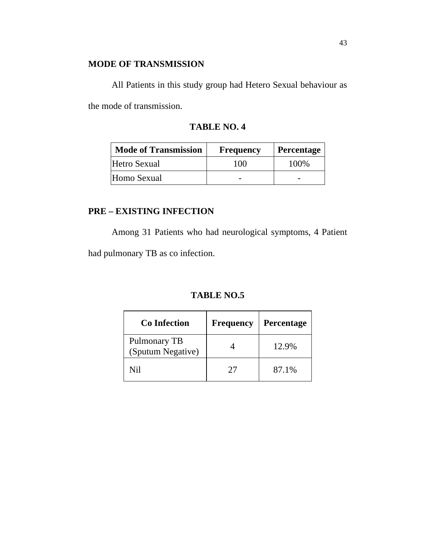### **MODE OF TRANSMISSION**

All Patients in this study group had Hetero Sexual behaviour as the mode of transmission.

| <b>Mode of Transmission</b> | <b>Frequency</b> | <b>Percentage</b> |
|-----------------------------|------------------|-------------------|
| Hetro Sexual                | 100              | 100\%             |
| Homo Sexual                 |                  |                   |

### **PRE – EXISTING INFECTION**

Among 31 Patients who had neurological symptoms, 4 Patient

had pulmonary TB as co infection.

### **TABLE NO.5**

| <b>Co</b> Infection               | <b>Frequency</b> | Percentage |
|-----------------------------------|------------------|------------|
| Pulmonary TB<br>(Sputum Negative) |                  | 12.9%      |
| Nil                               | 27               | 87.1%      |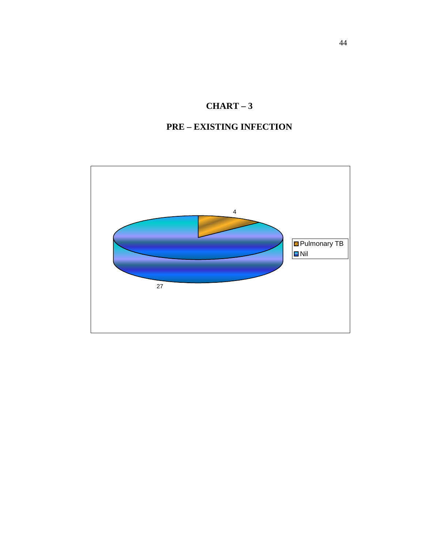### **PRE – EXISTING INFECTION**

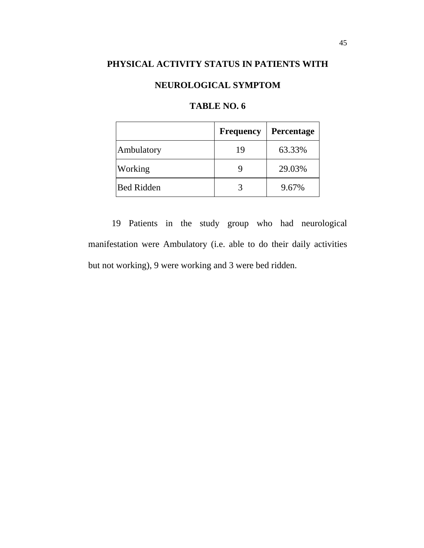### **PHYSICAL ACTIVITY STATUS IN PATIENTS WITH**

### **NEUROLOGICAL SYMPTOM**

|                   | <b>Frequency</b> | <b>Percentage</b> |
|-------------------|------------------|-------------------|
| Ambulatory        | 19               | 63.33%            |
| Working           |                  | 29.03%            |
| <b>Bed Ridden</b> |                  | 9.67%             |

### **TABLE NO. 6**

19 Patients in the study group who had neurological manifestation were Ambulatory (i.e. able to do their daily activities but not working), 9 were working and 3 were bed ridden.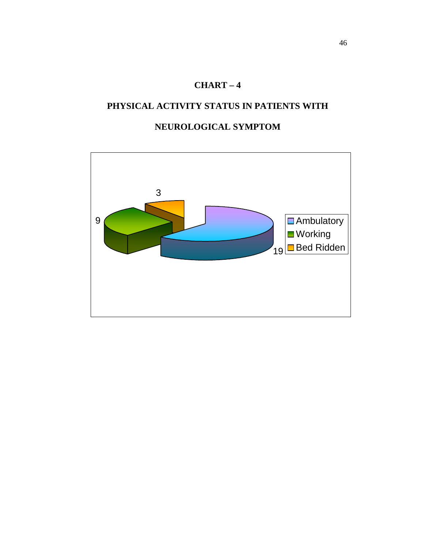### **PHYSICAL ACTIVITY STATUS IN PATIENTS WITH**

### **NEUROLOGICAL SYMPTOM**

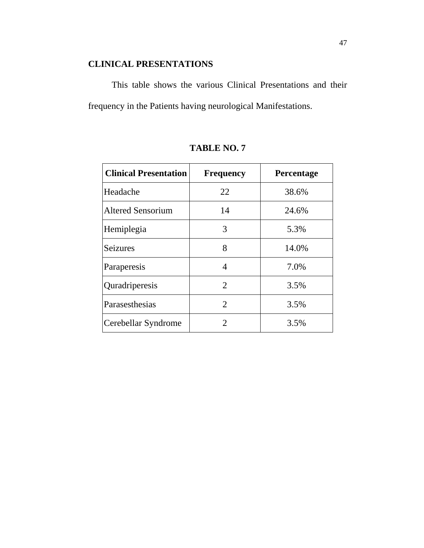### **CLINICAL PRESENTATIONS**

This table shows the various Clinical Presentations and their frequency in the Patients having neurological Manifestations.

| <b>Clinical Presentation</b> | <b>Frequency</b>            | Percentage |
|------------------------------|-----------------------------|------------|
| Headache                     | 22                          | 38.6%      |
| <b>Altered Sensorium</b>     | 14                          | 24.6%      |
| Hemiplegia                   | 3                           | 5.3%       |
| <b>Seizures</b>              | 8                           | 14.0%      |
| Paraperesis                  | 4                           | 7.0%       |
| Quradriperesis               | $\overline{2}$              | 3.5%       |
| Parasesthesias               | $\mathcal{D}_{\mathcal{L}}$ | 3.5%       |
| Cerebellar Syndrome          | $\overline{2}$              | 3.5%       |

| <b>TABLE NO. 7</b> |  |
|--------------------|--|
|                    |  |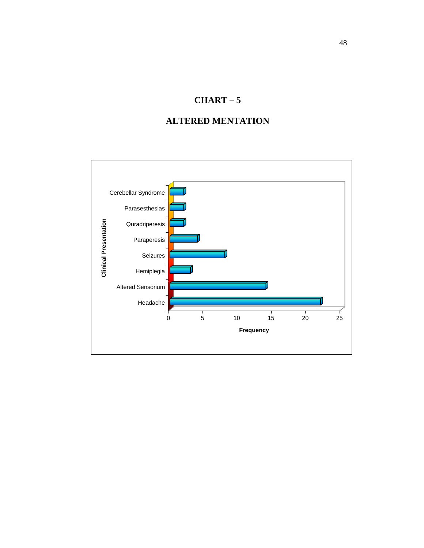### **ALTERED MENTATION**

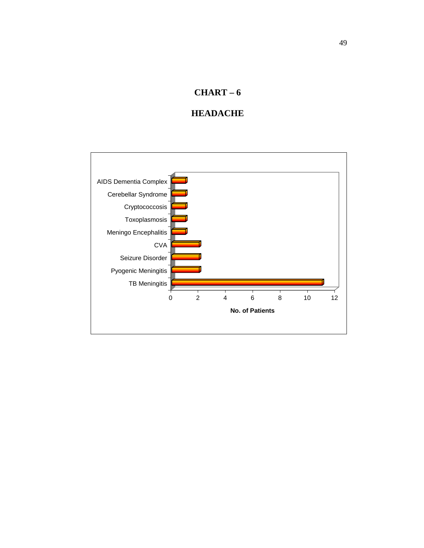### **HEADACHE**

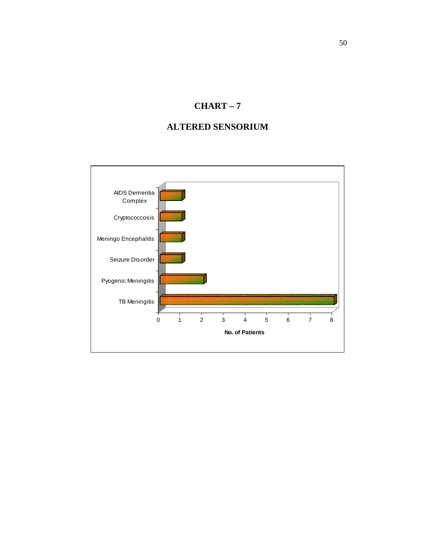### **ALTERED SENSORIUM**

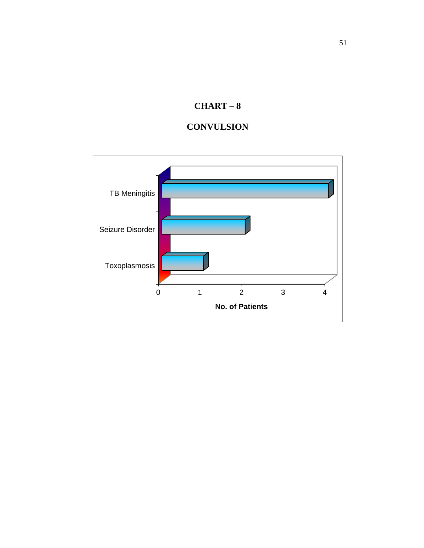

### **CONVULSION**

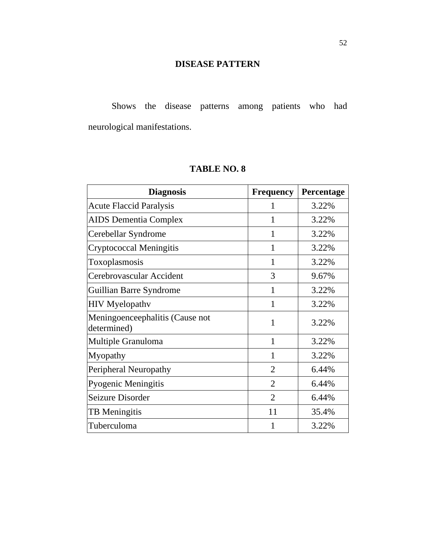### **DISEASE PATTERN**

Shows the disease patterns among patients who had neurological manifestations.

### **TABLE NO. 8**

| <b>Diagnosis</b>                               | <b>Frequency</b> | Percentage |
|------------------------------------------------|------------------|------------|
| <b>Acute Flaccid Paralysis</b>                 |                  | 3.22%      |
| <b>AIDS</b> Dementia Complex                   | 1                | 3.22%      |
| Cerebellar Syndrome                            |                  | 3.22%      |
| Cryptococcal Meningitis                        | 1                | 3.22%      |
| Toxoplasmosis                                  | 1                | 3.22%      |
| Cerebrovascular Accident                       | 3                | 9.67%      |
| Guillian Barre Syndrome                        | 1                | 3.22%      |
| <b>HIV</b> Myelopathv                          | 1                | 3.22%      |
| Meningoenceephalitis (Cause not<br>determined) |                  | 3.22%      |
| Multiple Granuloma                             | 1                | 3.22%      |
| Myopathy                                       | 1                | 3.22%      |
| Peripheral Neuropathy                          | $\overline{2}$   | 6.44%      |
| Pyogenic Meningitis                            | $\overline{2}$   | 6.44%      |
| Seizure Disorder                               | $\overline{2}$   | 6.44%      |
| <b>TB</b> Meningitis                           | 11               | 35.4%      |
| Tuberculoma                                    |                  | 3.22%      |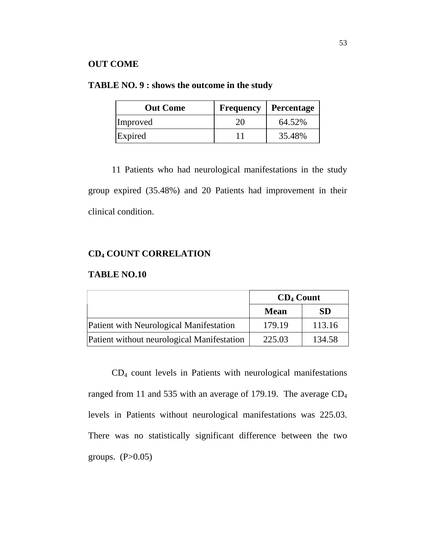#### **OUT COME**

### **TABLE NO. 9 : shows the outcome in the study**

| <b>Out Come</b> | <b>Frequency</b> | <b>Percentage</b> |
|-----------------|------------------|-------------------|
| Improved        | 20               | 64.52%            |
| Expired         |                  | 35.48%            |

11 Patients who had neurological manifestations in the study group expired (35.48%) and 20 Patients had improvement in their clinical condition.

### **CD4 COUNT CORRELATION**

#### **TABLE NO.10**

|                                            | $CD_4$ Count |           |
|--------------------------------------------|--------------|-----------|
|                                            | <b>Mean</b>  | <b>SD</b> |
| Patient with Neurological Manifestation    | 179.19       | 113.16    |
| Patient without neurological Manifestation | 225.03       | 134.58    |

CD4 count levels in Patients with neurological manifestations ranged from 11 and 535 with an average of 179.19. The average CD4 levels in Patients without neurological manifestations was 225.03. There was no statistically significant difference between the two groups.  $(P>0.05)$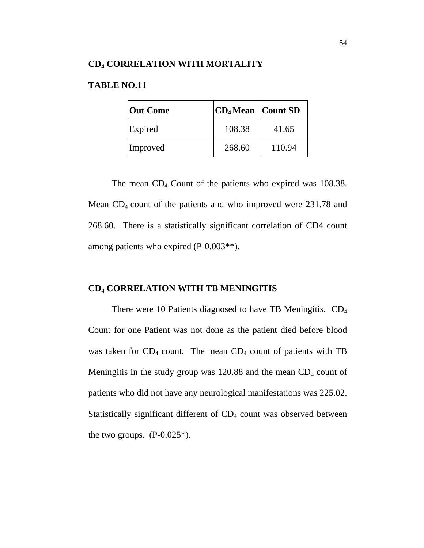### **TABLE NO.11**

| <b>Out Come</b> | $ CD_4$ Mean $ CountSD$ |        |
|-----------------|-------------------------|--------|
| Expired         | 108.38                  | 41.65  |
| Improved        | 268.60                  | 110.94 |

The mean  $CD_4$  Count of the patients who expired was 108.38. Mean  $CD_4$  count of the patients and who improved were 231.78 and 268.60. There is a statistically significant correlation of CD4 count among patients who expired (P-0.003\*\*).

### **CD4 CORRELATION WITH TB MENINGITIS**

There were 10 Patients diagnosed to have TB Meningitis.  $CD_4$ Count for one Patient was not done as the patient died before blood was taken for  $CD_4$  count. The mean  $CD_4$  count of patients with TB Meningitis in the study group was  $120.88$  and the mean  $CD_4$  count of patients who did not have any neurological manifestations was 225.02. Statistically significant different of  $CD<sub>4</sub>$  count was observed between the two groups.  $(P-0.025^*)$ .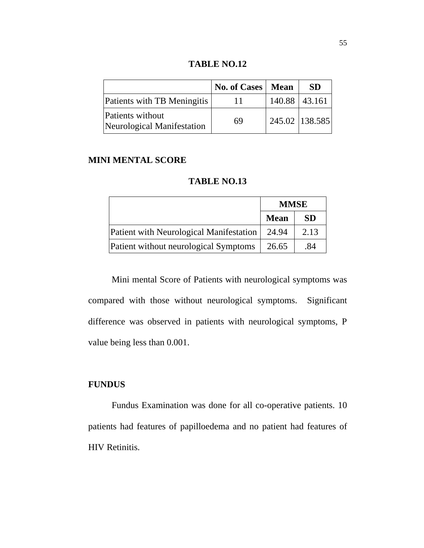**TABLE NO.12** 

|                                                | No. of Cases   Mean |               | <b>SD</b>        |
|------------------------------------------------|---------------------|---------------|------------------|
| Patients with TB Meningitis                    | $\mathbf{L}$        | 140.88 43.161 |                  |
| Patients without<br>Neurological Manifestation | 69                  |               | 245.02   138.585 |

#### **MINI MENTAL SCORE**

|                                                | <b>MMSE</b> |           |
|------------------------------------------------|-------------|-----------|
|                                                | <b>Mean</b> | <b>SD</b> |
| <b>Patient with Neurological Manifestation</b> | 24.94       | 2.13      |
| Patient without neurological Symptoms          | 26.65       | .84       |

Mini mental Score of Patients with neurological symptoms was compared with those without neurological symptoms. Significant difference was observed in patients with neurological symptoms, P value being less than 0.001.

### **FUNDUS**

Fundus Examination was done for all co-operative patients. 10 patients had features of papilloedema and no patient had features of HIV Retinitis.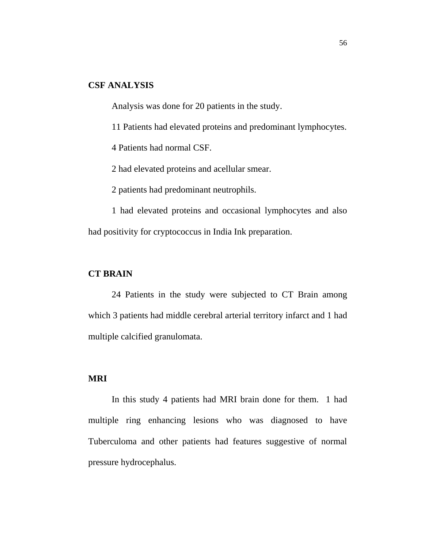### **CSF ANALYSIS**

Analysis was done for 20 patients in the study.

11 Patients had elevated proteins and predominant lymphocytes.

4 Patients had normal CSF.

2 had elevated proteins and acellular smear.

2 patients had predominant neutrophils.

1 had elevated proteins and occasional lymphocytes and also had positivity for cryptococcus in India Ink preparation.

#### **CT BRAIN**

24 Patients in the study were subjected to CT Brain among which 3 patients had middle cerebral arterial territory infarct and 1 had multiple calcified granulomata.

### **MRI**

In this study 4 patients had MRI brain done for them. 1 had multiple ring enhancing lesions who was diagnosed to have Tuberculoma and other patients had features suggestive of normal pressure hydrocephalus.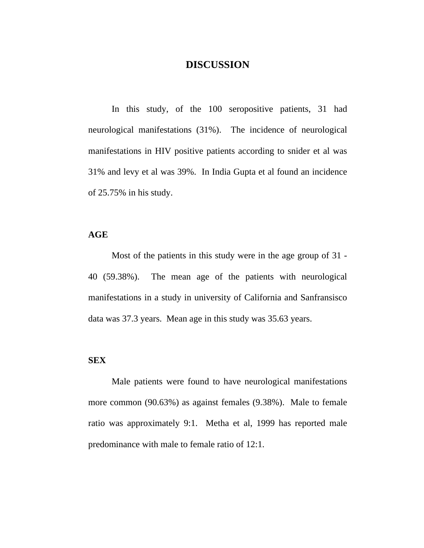### **DISCUSSION**

In this study, of the 100 seropositive patients, 31 had neurological manifestations (31%). The incidence of neurological manifestations in HIV positive patients according to snider et al was 31% and levy et al was 39%. In India Gupta et al found an incidence of 25.75% in his study.

#### **AGE**

Most of the patients in this study were in the age group of 31 - 40 (59.38%). The mean age of the patients with neurological manifestations in a study in university of California and Sanfransisco data was 37.3 years. Mean age in this study was 35.63 years.

#### **SEX**

Male patients were found to have neurological manifestations more common (90.63%) as against females (9.38%). Male to female ratio was approximately 9:1. Metha et al, 1999 has reported male predominance with male to female ratio of 12:1.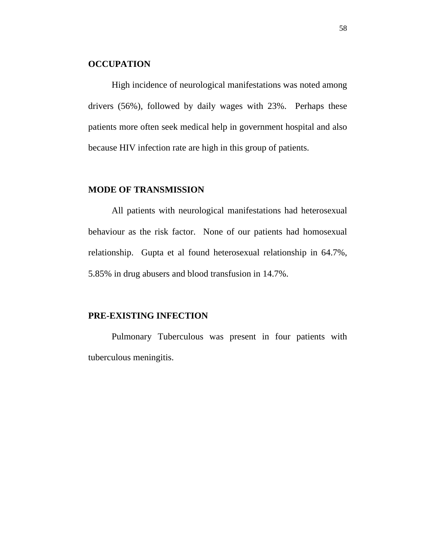#### **OCCUPATION**

High incidence of neurological manifestations was noted among drivers (56%), followed by daily wages with 23%. Perhaps these patients more often seek medical help in government hospital and also because HIV infection rate are high in this group of patients.

#### **MODE OF TRANSMISSION**

All patients with neurological manifestations had heterosexual behaviour as the risk factor. None of our patients had homosexual relationship. Gupta et al found heterosexual relationship in 64.7%, 5.85% in drug abusers and blood transfusion in 14.7%.

#### **PRE-EXISTING INFECTION**

Pulmonary Tuberculous was present in four patients with tuberculous meningitis.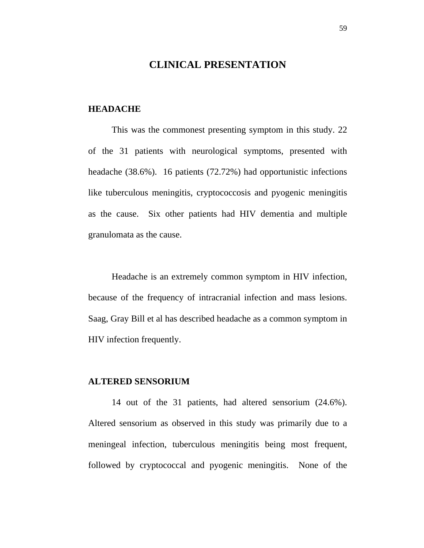### **CLINICAL PRESENTATION**

#### **HEADACHE**

This was the commonest presenting symptom in this study. 22 of the 31 patients with neurological symptoms, presented with headache (38.6%). 16 patients (72.72%) had opportunistic infections like tuberculous meningitis, cryptococcosis and pyogenic meningitis as the cause. Six other patients had HIV dementia and multiple granulomata as the cause.

Headache is an extremely common symptom in HIV infection, because of the frequency of intracranial infection and mass lesions. Saag, Gray Bill et al has described headache as a common symptom in HIV infection frequently.

#### **ALTERED SENSORIUM**

14 out of the 31 patients, had altered sensorium (24.6%). Altered sensorium as observed in this study was primarily due to a meningeal infection, tuberculous meningitis being most frequent, followed by cryptococcal and pyogenic meningitis. None of the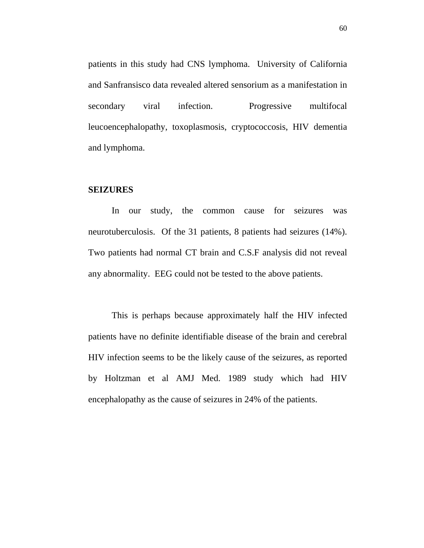patients in this study had CNS lymphoma. University of California and Sanfransisco data revealed altered sensorium as a manifestation in secondary viral infection. Progressive multifocal leucoencephalopathy, toxoplasmosis, cryptococcosis, HIV dementia and lymphoma.

#### **SEIZURES**

In our study, the common cause for seizures was neurotuberculosis. Of the 31 patients, 8 patients had seizures (14%). Two patients had normal CT brain and C.S.F analysis did not reveal any abnormality. EEG could not be tested to the above patients.

This is perhaps because approximately half the HIV infected patients have no definite identifiable disease of the brain and cerebral HIV infection seems to be the likely cause of the seizures, as reported by Holtzman et al AMJ Med. 1989 study which had HIV encephalopathy as the cause of seizures in 24% of the patients.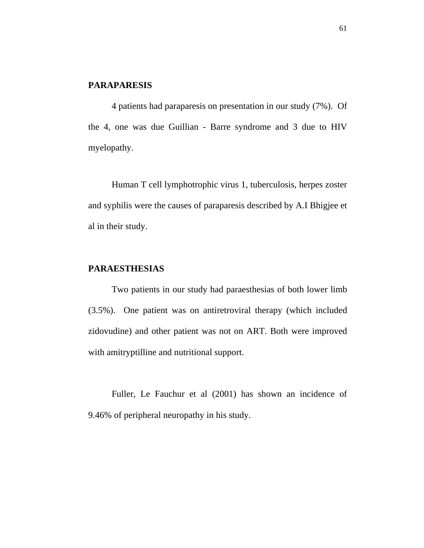#### **PARAPARESIS**

4 patients had paraparesis on presentation in our study (7%). Of the 4, one was due Guillian - Barre syndrome and 3 due to HIV myelopathy.

Human T cell lymphotrophic virus 1, tuberculosis, herpes zoster and syphilis were the causes of paraparesis described by A.I Bhigjee et al in their study.

### **PARAESTHESIAS**

Two patients in our study had paraesthesias of both lower limb (3.5%). One patient was on antiretroviral therapy (which included zidovudine) and other patient was not on ART. Both were improved with amitryptilline and nutritional support.

Fuller, Le Fauchur et al (2001) has shown an incidence of 9.46% of peripheral neuropathy in his study.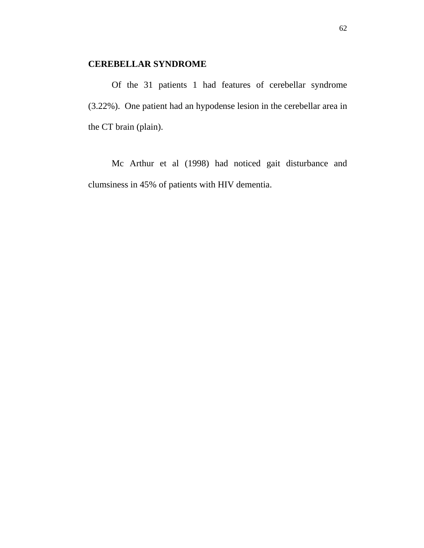### **CEREBELLAR SYNDROME**

Of the 31 patients 1 had features of cerebellar syndrome (3.22%). One patient had an hypodense lesion in the cerebellar area in the CT brain (plain).

Mc Arthur et al (1998) had noticed gait disturbance and clumsiness in 45% of patients with HIV dementia.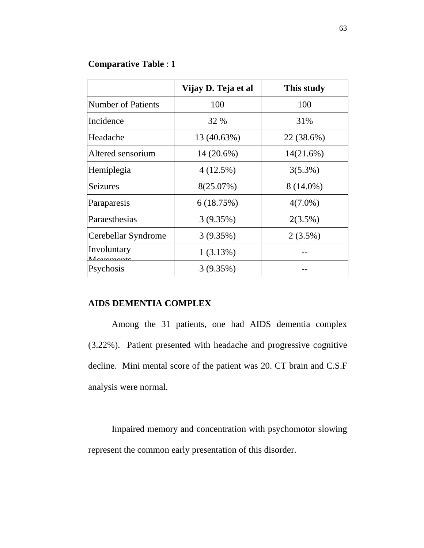### **Comparative Table** : **1**

|                           | Vijay D. Teja et al | This study |
|---------------------------|---------------------|------------|
| <b>Number of Patients</b> | 100                 | 100        |
| Incidence                 | 32 %                | 31%        |
| Headache                  | 13 (40.63%)         | 22 (38.6%) |
| Altered sensorium         | 14 (20.6%)          | 14(21.6%)  |
| Hemiplegia                | 4(12.5%)            | $3(5.3\%)$ |
| <b>Seizures</b>           | 8(25.07%)           | 8 (14.0%)  |
| Paraparesis               | 6(18.75%)           | $4(7.0\%)$ |
| Paraesthesias             | 3(9.35%)            | 2(3.5%)    |
| Cerebellar Syndrome       | 3(9.35%)            | $2(3.5\%)$ |
| Involuntary<br>Mayaman    | 1(3.13%)            |            |
| Psychosis                 | 3(9.35%)            |            |

### **AIDS DEMENTIA COMPLEX**

Among the 31 patients, one had AIDS dementia complex (3.22%). Patient presented with headache and progressive cognitive decline. Mini mental score of the patient was 20. CT brain and C.S.F analysis were normal.

Impaired memory and concentration with psychomotor slowing represent the common early presentation of this disorder.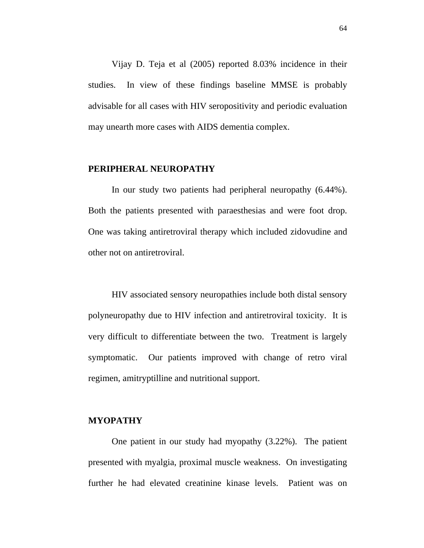Vijay D. Teja et al (2005) reported 8.03% incidence in their studies. In view of these findings baseline MMSE is probably advisable for all cases with HIV seropositivity and periodic evaluation may unearth more cases with AIDS dementia complex.

#### **PERIPHERAL NEUROPATHY**

In our study two patients had peripheral neuropathy (6.44%). Both the patients presented with paraesthesias and were foot drop. One was taking antiretroviral therapy which included zidovudine and other not on antiretroviral.

HIV associated sensory neuropathies include both distal sensory polyneuropathy due to HIV infection and antiretroviral toxicity. It is very difficult to differentiate between the two. Treatment is largely symptomatic. Our patients improved with change of retro viral regimen, amitryptilline and nutritional support.

#### **MYOPATHY**

One patient in our study had myopathy (3.22%). The patient presented with myalgia, proximal muscle weakness. On investigating further he had elevated creatinine kinase levels. Patient was on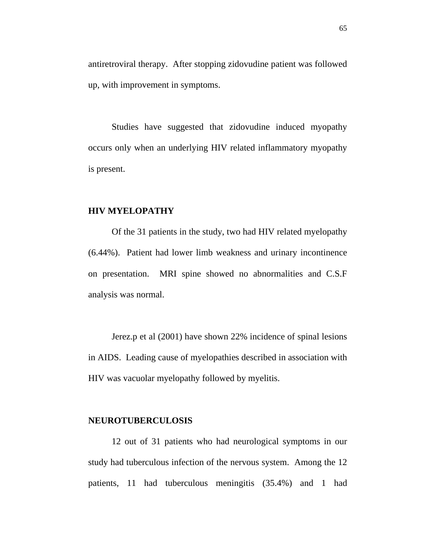antiretroviral therapy. After stopping zidovudine patient was followed up, with improvement in symptoms.

Studies have suggested that zidovudine induced myopathy occurs only when an underlying HIV related inflammatory myopathy is present.

#### **HIV MYELOPATHY**

Of the 31 patients in the study, two had HIV related myelopathy (6.44%). Patient had lower limb weakness and urinary incontinence on presentation. MRI spine showed no abnormalities and C.S.F analysis was normal.

Jerez.p et al (2001) have shown 22% incidence of spinal lesions in AIDS. Leading cause of myelopathies described in association with HIV was vacuolar myelopathy followed by myelitis.

#### **NEUROTUBERCULOSIS**

12 out of 31 patients who had neurological symptoms in our study had tuberculous infection of the nervous system. Among the 12 patients, 11 had tuberculous meningitis (35.4%) and 1 had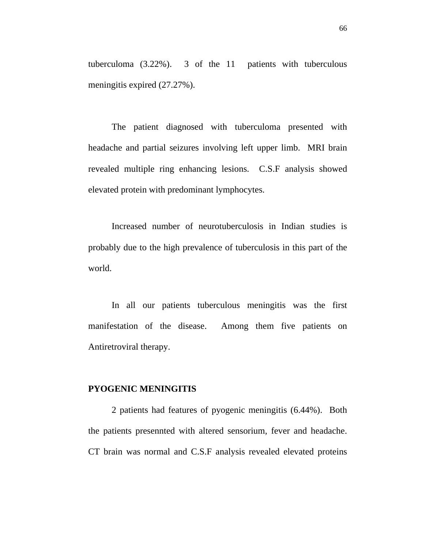tuberculoma (3.22%). 3 of the 11 patients with tuberculous meningitis expired (27.27%).

The patient diagnosed with tuberculoma presented with headache and partial seizures involving left upper limb. MRI brain revealed multiple ring enhancing lesions.C.S.F analysis showed elevated protein with predominant lymphocytes.

Increased number of neurotuberculosis in Indian studies is probably due to the high prevalence of tuberculosis in this part of the world.

In all our patients tuberculous meningitis was the first manifestation of the disease. Among them five patients on Antiretroviral therapy.

### **PYOGENIC MENINGITIS**

2 patients had features of pyogenic meningitis (6.44%). Both the patients presennted with altered sensorium, fever and headache. CT brain was normal and C.S.F analysis revealed elevated proteins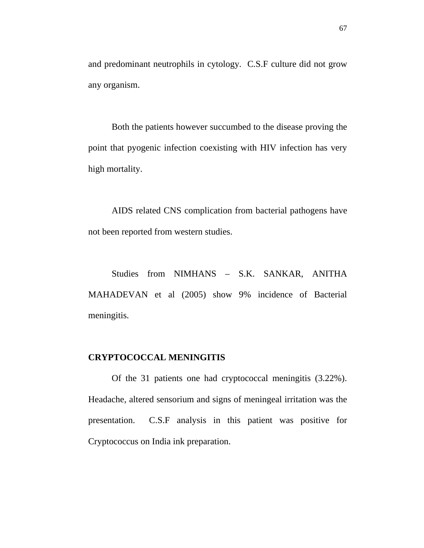and predominant neutrophils in cytology. C.S.F culture did not grow any organism.

Both the patients however succumbed to the disease proving the point that pyogenic infection coexisting with HIV infection has very high mortality.

AIDS related CNS complication from bacterial pathogens have not been reported from western studies.

Studies from NIMHANS – S.K. SANKAR, ANITHA MAHADEVAN et al (2005) show 9% incidence of Bacterial meningitis.

#### **CRYPTOCOCCAL MENINGITIS**

Of the 31 patients one had cryptococcal meningitis (3.22%). Headache, altered sensorium and signs of meningeal irritation was the presentation. C.S.F analysis in this patient was positive for Cryptococcus on India ink preparation.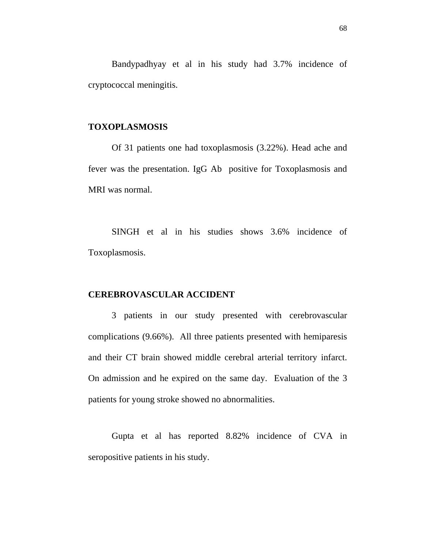Bandypadhyay et al in his study had 3.7% incidence of cryptococcal meningitis.

#### **TOXOPLASMOSIS**

Of 31 patients one had toxoplasmosis (3.22%). Head ache and fever was the presentation. IgG Ab positive for Toxoplasmosis and MRI was normal.

SINGH et al in his studies shows 3.6% incidence of Toxoplasmosis.

### **CEREBROVASCULAR ACCIDENT**

3 patients in our study presented with cerebrovascular complications (9.66%). All three patients presented with hemiparesis and their CT brain showed middle cerebral arterial territory infarct. On admission and he expired on the same day. Evaluation of the 3 patients for young stroke showed no abnormalities.

Gupta et al has reported 8.82% incidence of CVA in seropositive patients in his study.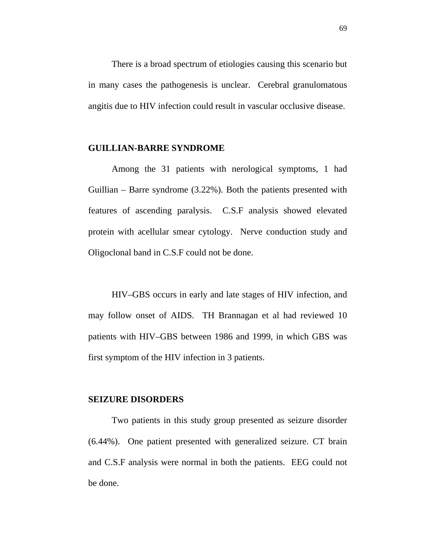There is a broad spectrum of etiologies causing this scenario but in many cases the pathogenesis is unclear. Cerebral granulomatous angitis due to HIV infection could result in vascular occlusive disease.

#### **GUILLIAN-BARRE SYNDROME**

Among the 31 patients with nerological symptoms, 1 had Guillian – Barre syndrome (3.22%). Both the patients presented with features of ascending paralysis. C.S.F analysis showed elevated protein with acellular smear cytology. Nerve conduction study and Oligoclonal band in C.S.F could not be done.

HIV–GBS occurs in early and late stages of HIV infection, and may follow onset of AIDS. TH Brannagan et al had reviewed 10 patients with HIV–GBS between 1986 and 1999, in which GBS was first symptom of the HIV infection in 3 patients.

#### **SEIZURE DISORDERS**

Two patients in this study group presented as seizure disorder (6.44%). One patient presented with generalized seizure. CT brain and C.S.F analysis were normal in both the patients. EEG could not be done.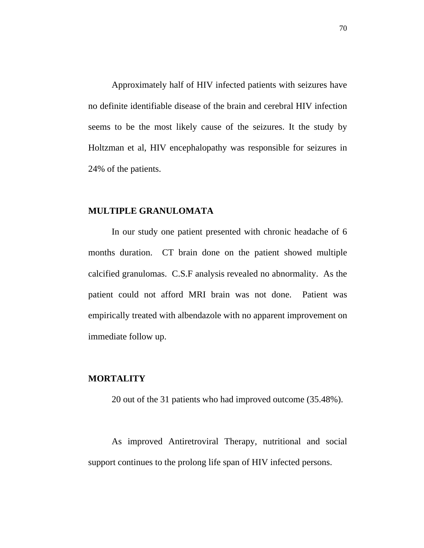Approximately half of HIV infected patients with seizures have no definite identifiable disease of the brain and cerebral HIV infection seems to be the most likely cause of the seizures. It the study by Holtzman et al, HIV encephalopathy was responsible for seizures in 24% of the patients.

#### **MULTIPLE GRANULOMATA**

In our study one patient presented with chronic headache of 6 months duration. CT brain done on the patient showed multiple calcified granulomas. C.S.F analysis revealed no abnormality. As the patient could not afford MRI brain was not done. Patient was empirically treated with albendazole with no apparent improvement on immediate follow up.

### **MORTALITY**

20 out of the 31 patients who had improved outcome (35.48%).

As improved Antiretroviral Therapy, nutritional and social support continues to the prolong life span of HIV infected persons.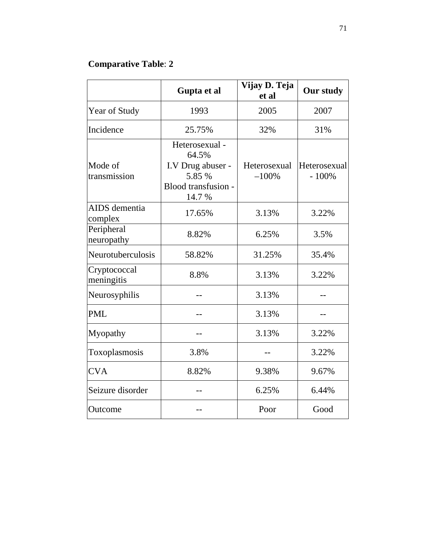# **Comparative Table**: **2**

|                            | Gupta et al                                                                             | Vijay D. Teja<br>et al  | Our study               |
|----------------------------|-----------------------------------------------------------------------------------------|-------------------------|-------------------------|
| Year of Study              | 1993                                                                                    | 2005                    | 2007                    |
| Incidence                  | 25.75%                                                                                  | 32%                     | 31%                     |
| Mode of<br>transmission    | Heterosexual -<br>64.5%<br>I.V Drug abuser -<br>5.85 %<br>Blood transfusion -<br>14.7 % | Heterosexual<br>$-100%$ | Heterosexual<br>$-100%$ |
| AIDS dementia<br>complex   | 17.65%                                                                                  | 3.13%                   | 3.22%                   |
| Peripheral<br>neuropathy   | 8.82%                                                                                   | 6.25%                   | 3.5%                    |
| Neurotuberculosis          | 58.82%                                                                                  | 31.25%                  | 35.4%                   |
| Cryptococcal<br>meningitis | 8.8%                                                                                    | 3.13%                   | 3.22%                   |
| Neurosyphilis              |                                                                                         | 3.13%                   |                         |
| <b>PML</b>                 |                                                                                         | 3.13%                   |                         |
| Myopathy                   |                                                                                         | 3.13%                   | 3.22%                   |
| Toxoplasmosis              | 3.8%                                                                                    |                         | 3.22%                   |
| <b>CVA</b>                 | 8.82%                                                                                   | 9.38%                   | 9.67%                   |
| Seizure disorder           |                                                                                         | 6.25%                   | 6.44%                   |
| Outcome                    |                                                                                         | Poor                    | Good                    |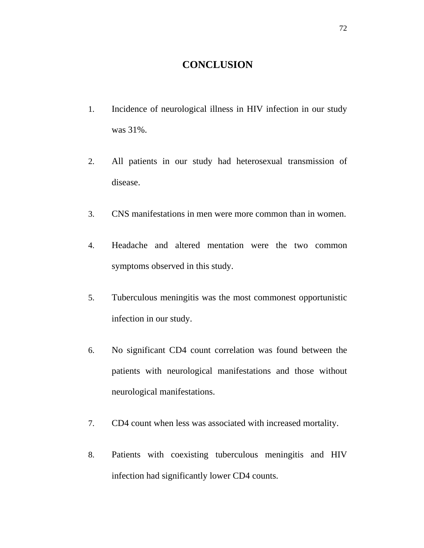### **CONCLUSION**

- 1. Incidence of neurological illness in HIV infection in our study was 31%.
- 2. All patients in our study had heterosexual transmission of disease.
- 3. CNS manifestations in men were more common than in women.
- 4. Headache and altered mentation were the two common symptoms observed in this study.
- 5. Tuberculous meningitis was the most commonest opportunistic infection in our study.
- 6. No significant CD4 count correlation was found between the patients with neurological manifestations and those without neurological manifestations.
- 7. CD4 count when less was associated with increased mortality.
- 8. Patients with coexisting tuberculous meningitis and HIV infection had significantly lower CD4 counts.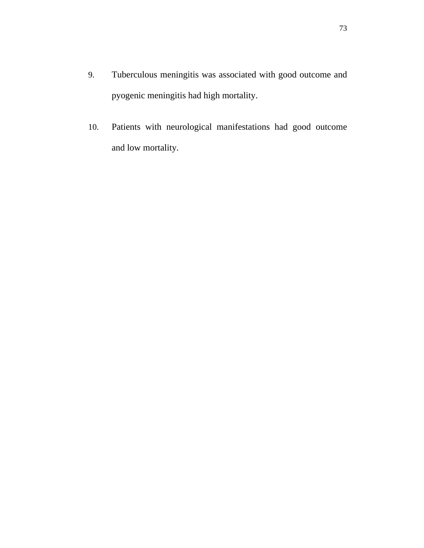- 9. Tuberculous meningitis was associated with good outcome and pyogenic meningitis had high mortality.
- 10. Patients with neurological manifestations had good outcome and low mortality.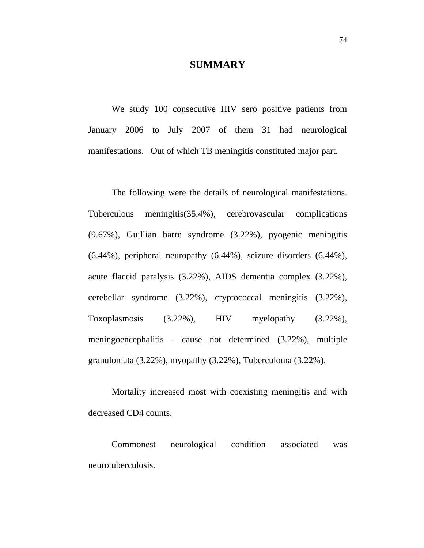### **SUMMARY**

We study 100 consecutive HIV sero positive patients from January 2006 to July 2007 of them 31 had neurological manifestations. Out of which TB meningitis constituted major part.

The following were the details of neurological manifestations. Tuberculous meningitis(35.4%), cerebrovascular complications (9.67%), Guillian barre syndrome (3.22%), pyogenic meningitis (6.44%), peripheral neuropathy (6.44%), seizure disorders (6.44%), acute flaccid paralysis (3.22%), AIDS dementia complex (3.22%), cerebellar syndrome (3.22%), cryptococcal meningitis (3.22%), Toxoplasmosis (3.22%), HIV myelopathy (3.22%), meningoencephalitis - cause not determined (3.22%), multiple granulomata (3.22%), myopathy (3.22%), Tuberculoma (3.22%).

Mortality increased most with coexisting meningitis and with decreased CD4 counts.

Commonest neurological condition associated was neurotuberculosis.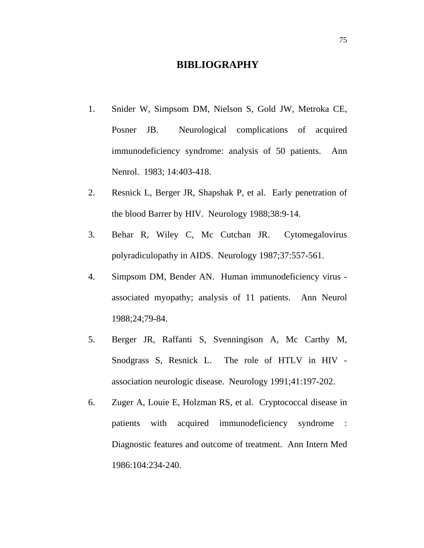### **BIBLIOGRAPHY**

- 1. Snider W, Simpsom DM, Nielson S, Gold JW, Metroka CE, Posner JB. Neurological complications of acquired immunodeficiency syndrome: analysis of 50 patients. Ann Nenrol. 1983; 14:403-418.
- 2. Resnick L, Berger JR, Shapshak P, et al. Early penetration of the blood Barrer by HIV. Neurology 1988;38:9-14.
- 3. Behar R, Wiley C, Mc Cutchan JR. Cytomegalovirus polyradiculopathy in AIDS. Neurology 1987;37:557-561.
- 4. Simpsom DM, Bender AN. Human immunodeficiency virus associated myopathy; analysis of 11 patients. Ann Neurol 1988;24;79-84.
- 5. Berger JR, Raffanti S, Svenningison A, Mc Carthy M, Snodgrass S, Resnick L. The role of HTLV in HIV association neurologic disease. Neurology 1991;41:197-202.
- 6. Zuger A, Louie E, Holzman RS, et al. Cryptococcal disease in patients with acquired immunodeficiency syndrome : Diagnostic features and outcome of treatment. Ann Intern Med 1986:104:234-240.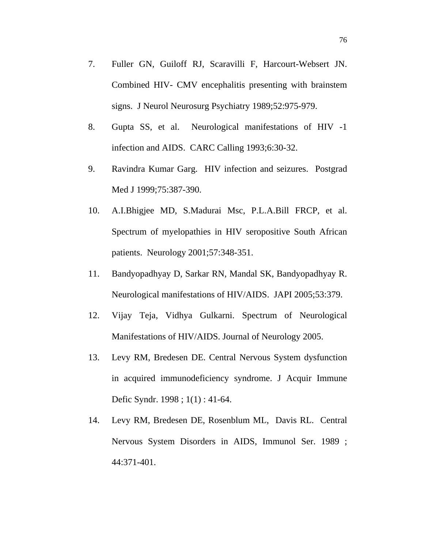- 7. Fuller GN, Guiloff RJ, Scaravilli F, Harcourt-Websert JN. Combined HIV- CMV encephalitis presenting with brainstem signs. J Neurol Neurosurg Psychiatry 1989;52:975-979.
- 8. Gupta SS, et al. Neurological manifestations of HIV -1 infection and AIDS. CARC Calling 1993;6:30-32.
- 9. Ravindra Kumar Garg. HIV infection and seizures. Postgrad Med J 1999;75:387-390.
- 10. A.I.Bhigjee MD, S.Madurai Msc, P.L.A.Bill FRCP, et al. Spectrum of myelopathies in HIV seropositive South African patients. Neurology 2001;57:348-351.
- 11. Bandyopadhyay D, Sarkar RN, Mandal SK, Bandyopadhyay R. Neurological manifestations of HIV/AIDS. JAPI 2005;53:379.
- 12. Vijay Teja, Vidhya Gulkarni. Spectrum of Neurological Manifestations of HIV/AIDS. Journal of Neurology 2005.
- 13. Levy RM, Bredesen DE. Central Nervous System dysfunction in acquired immunodeficiency syndrome. J Acquir Immune Defic Syndr. 1998 ; 1(1) : 41-64.
- 14. Levy RM, Bredesen DE, Rosenblum ML, Davis RL. Central Nervous System Disorders in AIDS, Immunol Ser. 1989 ; 44:371-401.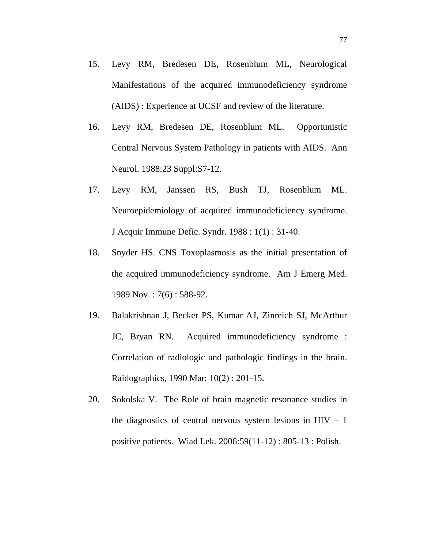- 15. Levy RM, Bredesen DE, Rosenblum ML, Neurological Manifestations of the acquired immunodeficiency syndrome (AIDS) : Experience at UCSF and review of the literature.
- 16. Levy RM, Bredesen DE, Rosenblum ML. Opportunistic Central Nervous System Pathology in patients with AIDS. Ann Neurol. 1988:23 Suppl:S7-12.
- 17. Levy RM, Janssen RS, Bush TJ, Rosenblum ML. Neuroepidemiology of acquired immunodeficiency syndrome. J Acquir Immune Defic. Syndr. 1988 : 1(1) : 31-40.
- 18. Snyder HS. CNS Toxoplasmosis as the initial presentation of the acquired immunodeficiency syndrome. Am J Emerg Med. 1989 Nov. : 7(6) : 588-92.
- 19. Balakrishnan J, Becker PS, Kumar AJ, Zinreich SJ, McArthur JC, Bryan RN. Acquired immunodeficiency syndrome : Correlation of radiologic and pathologic findings in the brain. Raidographics, 1990 Mar; 10(2) : 201-15.
- 20. Sokolska V. The Role of brain magnetic resonance studies in the diagnostics of central nervous system lesions in  $HIV - 1$ positive patients. Wiad Lek. 2006:59(11-12) : 805-13 : Polish.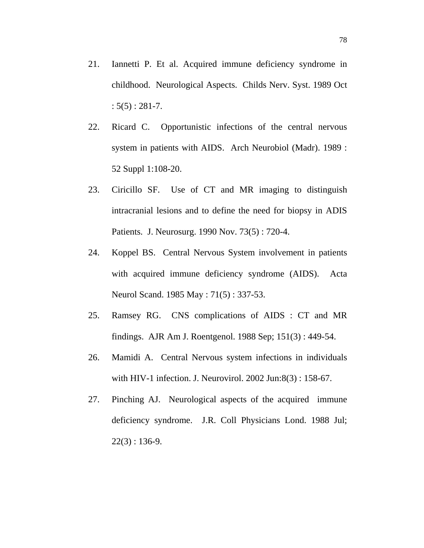- 21. Iannetti P. Et al. Acquired immune deficiency syndrome in childhood. Neurological Aspects. Childs Nerv. Syst. 1989 Oct  $: 5(5) : 281 - 7.$
- 22. Ricard C. Opportunistic infections of the central nervous system in patients with AIDS. Arch Neurobiol (Madr). 1989 : 52 Suppl 1:108-20.
- 23. Ciricillo SF. Use of CT and MR imaging to distinguish intracranial lesions and to define the need for biopsy in ADIS Patients. J. Neurosurg. 1990 Nov. 73(5) : 720-4.
- 24. Koppel BS. Central Nervous System involvement in patients with acquired immune deficiency syndrome (AIDS). Acta Neurol Scand. 1985 May : 71(5) : 337-53.
- 25. Ramsey RG. CNS complications of AIDS : CT and MR findings. AJR Am J. Roentgenol. 1988 Sep; 151(3) : 449-54.
- 26. Mamidi A. Central Nervous system infections in individuals with HIV-1 infection. J. Neurovirol. 2002 Jun:8(3) : 158-67.
- 27. Pinching AJ. Neurological aspects of the acquired immune deficiency syndrome. J.R. Coll Physicians Lond. 1988 Jul;  $22(3) : 136-9.$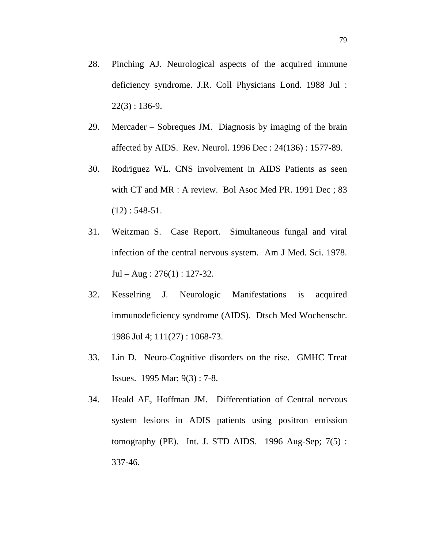- 28. Pinching AJ. Neurological aspects of the acquired immune deficiency syndrome. J.R. Coll Physicians Lond. 1988 Jul :  $22(3)$ : 136-9.
- 29. Mercader Sobreques JM. Diagnosis by imaging of the brain affected by AIDS. Rev. Neurol. 1996 Dec : 24(136) : 1577-89.
- 30. Rodriguez WL. CNS involvement in AIDS Patients as seen with CT and MR : A review. Bol Asoc Med PR. 1991 Dec ; 83  $(12): 548-51.$
- 31. Weitzman S. Case Report. Simultaneous fungal and viral infection of the central nervous system. Am J Med. Sci. 1978.  $Jul - Aug : 276(1) : 127-32.$
- 32. Kesselring J. Neurologic Manifestations is acquired immunodeficiency syndrome (AIDS). Dtsch Med Wochenschr. 1986 Jul 4; 111(27) : 1068-73.
- 33. Lin D. Neuro-Cognitive disorders on the rise. GMHC Treat Issues. 1995 Mar; 9(3) : 7-8.
- 34. Heald AE, Hoffman JM. Differentiation of Central nervous system lesions in ADIS patients using positron emission tomography (PE). Int. J. STD AIDS. 1996 Aug-Sep;  $7(5)$ : 337-46.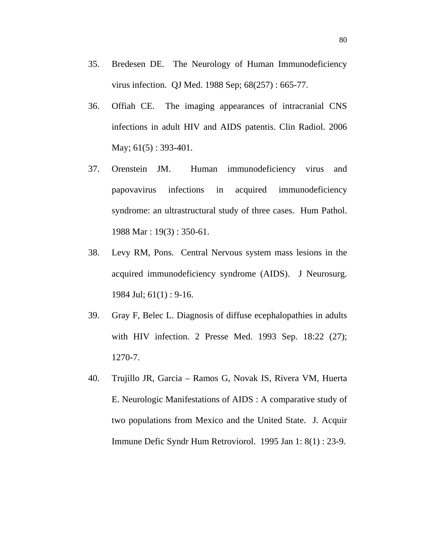- 35. Bredesen DE. The Neurology of Human Immunodeficiency virus infection. QJ Med. 1988 Sep; 68(257) : 665-77.
- 36. Offiah CE. The imaging appearances of intracranial CNS infections in adult HIV and AIDS patentis. Clin Radiol. 2006 May; 61(5) : 393-401.
- 37. Orenstein JM. Human immunodeficiency virus and papovavirus infections in acquired immunodeficiency syndrome: an ultrastructural study of three cases. Hum Pathol. 1988 Mar : 19(3) : 350-61.
- 38. Levy RM, Pons. Central Nervous system mass lesions in the acquired immunodeficiency syndrome (AIDS). J Neurosurg. 1984 Jul; 61(1) : 9-16.
- 39. Gray F, Belec L. Diagnosis of diffuse ecephalopathies in adults with HIV infection. 2 Presse Med. 1993 Sep. 18:22 (27); 1270-7.
- 40. Trujillo JR, Garcia Ramos G, Novak IS, Rivera VM, Huerta E. Neurologic Manifestations of AIDS : A comparative study of two populations from Mexico and the United State. J. Acquir Immune Defic Syndr Hum Retroviorol. 1995 Jan 1: 8(1) : 23-9.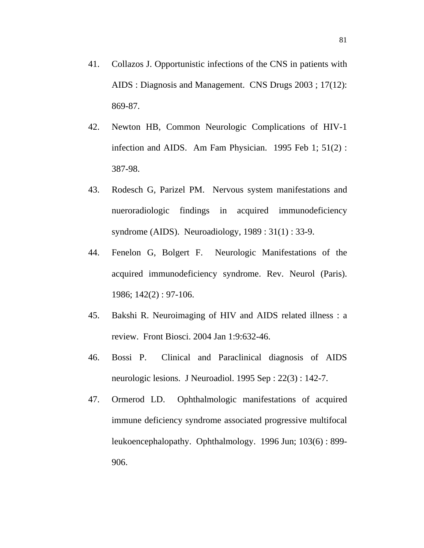- 41. Collazos J. Opportunistic infections of the CNS in patients with AIDS : Diagnosis and Management. CNS Drugs 2003 ; 17(12): 869-87.
- 42. Newton HB, Common Neurologic Complications of HIV-1 infection and AIDS. Am Fam Physician. 1995 Feb 1; 51(2) : 387-98.
- 43. Rodesch G, Parizel PM. Nervous system manifestations and nueroradiologic findings in acquired immunodeficiency syndrome (AIDS). Neuroadiology, 1989 : 31(1) : 33-9.
- 44. Fenelon G, Bolgert F. Neurologic Manifestations of the acquired immunodeficiency syndrome. Rev. Neurol (Paris). 1986; 142(2) : 97-106.
- 45. Bakshi R. Neuroimaging of HIV and AIDS related illness : a review. Front Biosci. 2004 Jan 1:9:632-46.
- 46. Bossi P. Clinical and Paraclinical diagnosis of AIDS neurologic lesions. J Neuroadiol. 1995 Sep : 22(3) : 142-7.
- 47. Ormerod LD. Ophthalmologic manifestations of acquired immune deficiency syndrome associated progressive multifocal leukoencephalopathy. Ophthalmology. 1996 Jun; 103(6) : 899- 906.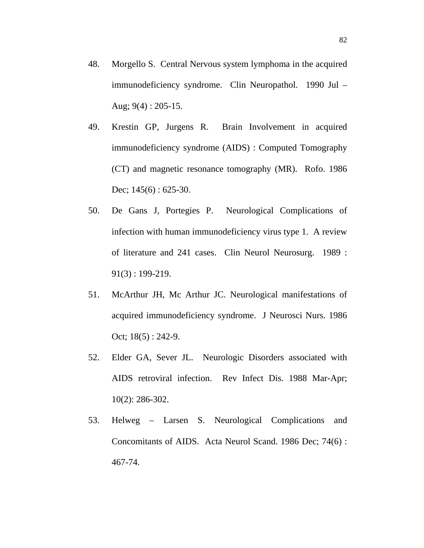- 48. Morgello S. Central Nervous system lymphoma in the acquired immunodeficiency syndrome. Clin Neuropathol. 1990 Jul – Aug;  $9(4)$ : 205-15.
- 49. Krestin GP, Jurgens R. Brain Involvement in acquired immunodeficiency syndrome (AIDS) : Computed Tomography (CT) and magnetic resonance tomography (MR). Rofo. 1986 Dec; 145(6): 625-30.
- 50. De Gans J, Portegies P. Neurological Complications of infection with human immunodeficiency virus type 1. A review of literature and 241 cases. Clin Neurol Neurosurg. 1989 : 91(3) : 199-219.
- 51. McArthur JH, Mc Arthur JC. Neurological manifestations of acquired immunodeficiency syndrome. J Neurosci Nurs. 1986 Oct;  $18(5) : 242-9$ .
- 52. Elder GA, Sever JL. Neurologic Disorders associated with AIDS retroviral infection. Rev Infect Dis. 1988 Mar-Apr; 10(2): 286-302.
- 53. Helweg Larsen S. Neurological Complications and Concomitants of AIDS. Acta Neurol Scand. 1986 Dec; 74(6) : 467-74.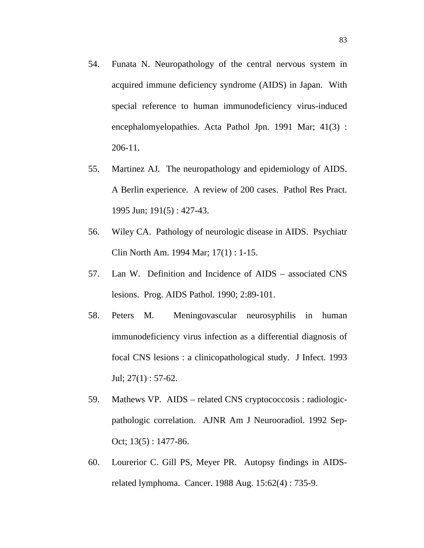- 54. Funata N. Neuropathology of the central nervous system in acquired immune deficiency syndrome (AIDS) in Japan. With special reference to human immunodeficiency virus-induced encephalomyelopathies. Acta Pathol Jpn. 1991 Mar; 41(3) : 206-11.
- 55. Martinez AJ. The neuropathology and epidemiology of AIDS. A Berlin experience. A review of 200 cases. Pathol Res Pract. 1995 Jun; 191(5) : 427-43.
- 56. Wiley CA. Pathology of neurologic disease in AIDS. Psychiatr Clin North Am. 1994 Mar; 17(1) : 1-15.
- 57. Lan W. Definition and Incidence of AIDS associated CNS lesions. Prog. AIDS Pathol. 1990; 2:89-101.
- 58. Peters M. Meningovascular neurosyphilis in human immunodeficiency virus infection as a differential diagnosis of focal CNS lesions : a clinicopathological study. J Infect. 1993 Jul; 27(1) : 57-62.
- 59. Mathews VP. AIDS related CNS cryptococcosis : radiologicpathologic correlation. AJNR Am J Neurooradiol. 1992 Sep-Oct; 13(5) : 1477-86.
- 60. Lourerior C. Gill PS, Meyer PR. Autopsy findings in AIDSrelated lymphoma. Cancer. 1988 Aug. 15:62(4) : 735-9.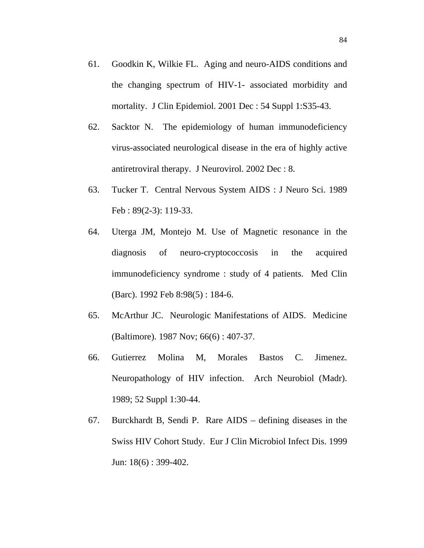- 61. Goodkin K, Wilkie FL. Aging and neuro-AIDS conditions and the changing spectrum of HIV-1- associated morbidity and mortality. J Clin Epidemiol. 2001 Dec : 54 Suppl 1:S35-43.
- 62. Sacktor N. The epidemiology of human immunodeficiency virus-associated neurological disease in the era of highly active antiretroviral therapy. J Neurovirol. 2002 Dec : 8.
- 63. Tucker T. Central Nervous System AIDS : J Neuro Sci. 1989 Feb : 89(2-3): 119-33.
- 64. Uterga JM, Montejo M. Use of Magnetic resonance in the diagnosis of neuro-cryptococcosis in the acquired immunodeficiency syndrome : study of 4 patients. Med Clin (Barc). 1992 Feb 8:98(5) : 184-6.
- 65. McArthur JC. Neurologic Manifestations of AIDS. Medicine (Baltimore). 1987 Nov; 66(6) : 407-37.
- 66. Gutierrez Molina M, Morales Bastos C. Jimenez. Neuropathology of HIV infection. Arch Neurobiol (Madr). 1989; 52 Suppl 1:30-44.
- 67. Burckhardt B, Sendi P. Rare AIDS defining diseases in the Swiss HIV Cohort Study. Eur J Clin Microbiol Infect Dis. 1999 Jun: 18(6) : 399-402.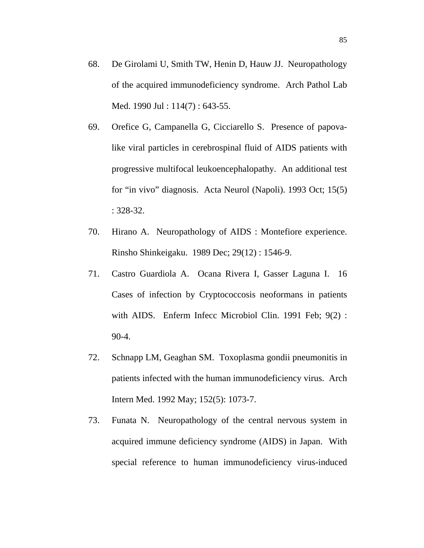- 68. De Girolami U, Smith TW, Henin D, Hauw JJ. Neuropathology of the acquired immunodeficiency syndrome. Arch Pathol Lab Med. 1990 Jul : 114(7) : 643-55.
- 69. Orefice G, Campanella G, Cicciarello S. Presence of papovalike viral particles in cerebrospinal fluid of AIDS patients with progressive multifocal leukoencephalopathy. An additional test for "in vivo" diagnosis. Acta Neurol (Napoli). 1993 Oct; 15(5) : 328-32.
- 70. Hirano A. Neuropathology of AIDS : Montefiore experience. Rinsho Shinkeigaku. 1989 Dec; 29(12) : 1546-9.
- 71. Castro Guardiola A. Ocana Rivera I, Gasser Laguna I. 16 Cases of infection by Cryptococcosis neoformans in patients with AIDS. Enferm Infecc Microbiol Clin. 1991 Feb; 9(2) : 90-4.
- 72. Schnapp LM, Geaghan SM. Toxoplasma gondii pneumonitis in patients infected with the human immunodeficiency virus. Arch Intern Med. 1992 May; 152(5): 1073-7.
- 73. Funata N. Neuropathology of the central nervous system in acquired immune deficiency syndrome (AIDS) in Japan. With special reference to human immunodeficiency virus-induced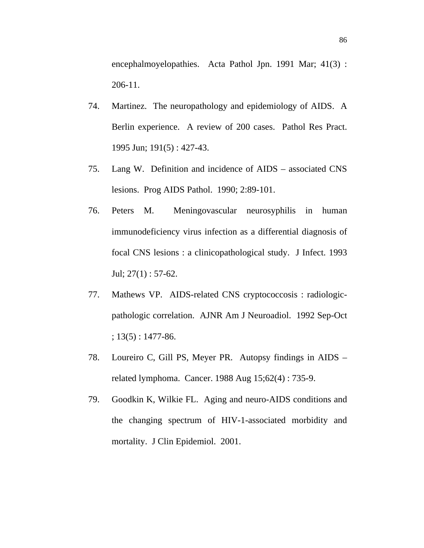encephalmoyelopathies. Acta Pathol Jpn. 1991 Mar; 41(3) : 206-11.

- 74. Martinez. The neuropathology and epidemiology of AIDS. A Berlin experience. A review of 200 cases. Pathol Res Pract. 1995 Jun; 191(5) : 427-43.
- 75. Lang W. Definition and incidence of AIDS associated CNS lesions. Prog AIDS Pathol. 1990; 2:89-101.
- 76. Peters M. Meningovascular neurosyphilis in human immunodeficiency virus infection as a differential diagnosis of focal CNS lesions : a clinicopathological study. J Infect. 1993 Jul;  $27(1)$ : 57-62.
- 77. Mathews VP. AIDS-related CNS cryptococcosis : radiologicpathologic correlation. AJNR Am J Neuroadiol. 1992 Sep-Oct  $; 13(5): 1477-86.$
- 78. Loureiro C, Gill PS, Meyer PR. Autopsy findings in AIDS related lymphoma. Cancer. 1988 Aug 15;62(4) : 735-9.
- 79. Goodkin K, Wilkie FL. Aging and neuro-AIDS conditions and the changing spectrum of HIV-1-associated morbidity and mortality. J Clin Epidemiol. 2001.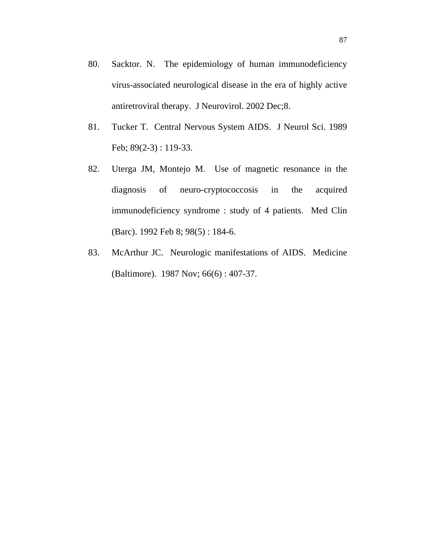- 80. Sacktor. N. The epidemiology of human immunodeficiency virus-associated neurological disease in the era of highly active antiretroviral therapy. J Neurovirol. 2002 Dec;8.
- 81. Tucker T. Central Nervous System AIDS. J Neurol Sci. 1989 Feb; 89(2-3) : 119-33.
- 82. Uterga JM, Montejo M. Use of magnetic resonance in the diagnosis of neuro-cryptococcosis in the acquired immunodeficiency syndrome : study of 4 patients. Med Clin (Barc). 1992 Feb 8; 98(5) : 184-6.
- 83. McArthur JC. Neurologic manifestations of AIDS. Medicine (Baltimore). 1987 Nov; 66(6) : 407-37.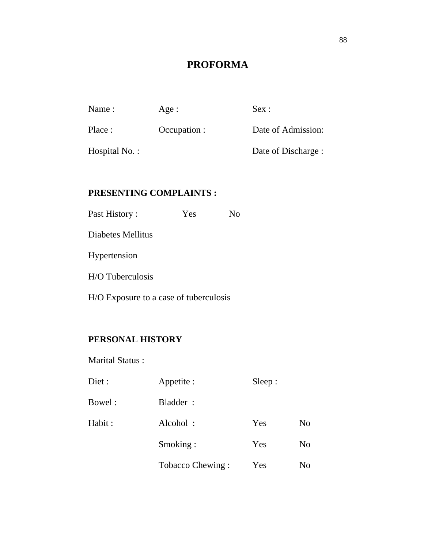## **PROFORMA**

| Name:            | Age:         | Sex:                |
|------------------|--------------|---------------------|
| Place :          | Occupation : | Date of Admission:  |
| Hospital $No.$ : |              | Date of Discharge : |
|                  |              |                     |

## **PRESENTING COMPLAINTS :**

| Past History:                          | Yes | No |
|----------------------------------------|-----|----|
| Diabetes Mellitus                      |     |    |
| Hypertension                           |     |    |
| H/O Tuberculosis                       |     |    |
| H/O Exposure to a case of tuberculosis |     |    |

## **PERSONAL HISTORY**

Marital Status :

| Diet : | Appetite :       | Sleep: |                |
|--------|------------------|--------|----------------|
| Bowel: | Bladder:         |        |                |
| Habit: | Alcohol:         | Yes    | N <sub>o</sub> |
|        | Smoking:         | Yes    | N <sub>o</sub> |
|        | Tobacco Chewing: | Yes    | No             |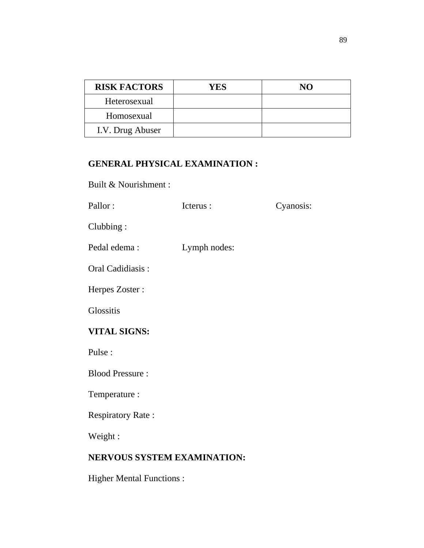| <b>RISK FACTORS</b> | YES | NO |
|---------------------|-----|----|
| Heterosexual        |     |    |
| Homosexual          |     |    |
| I.V. Drug Abuser    |     |    |

## **GENERAL PHYSICAL EXAMINATION :**

Built & Nourishment :

| Pallor:                            | Icterus:     | Cyanosis: |  |  |  |  |  |  |  |
|------------------------------------|--------------|-----------|--|--|--|--|--|--|--|
| Clubbing:                          |              |           |  |  |  |  |  |  |  |
| Pedal edema:                       | Lymph nodes: |           |  |  |  |  |  |  |  |
| Oral Cadidiasis:                   |              |           |  |  |  |  |  |  |  |
| Herpes Zoster:                     |              |           |  |  |  |  |  |  |  |
| <b>Glossitis</b>                   |              |           |  |  |  |  |  |  |  |
| <b>VITAL SIGNS:</b>                |              |           |  |  |  |  |  |  |  |
| Pulse:                             |              |           |  |  |  |  |  |  |  |
| <b>Blood Pressure:</b>             |              |           |  |  |  |  |  |  |  |
| Temperature :                      |              |           |  |  |  |  |  |  |  |
| <b>Respiratory Rate:</b>           |              |           |  |  |  |  |  |  |  |
| Weight:                            |              |           |  |  |  |  |  |  |  |
| <b>NERVOUS SYSTEM EXAMINATION:</b> |              |           |  |  |  |  |  |  |  |
| <b>Higher Mental Functions:</b>    |              |           |  |  |  |  |  |  |  |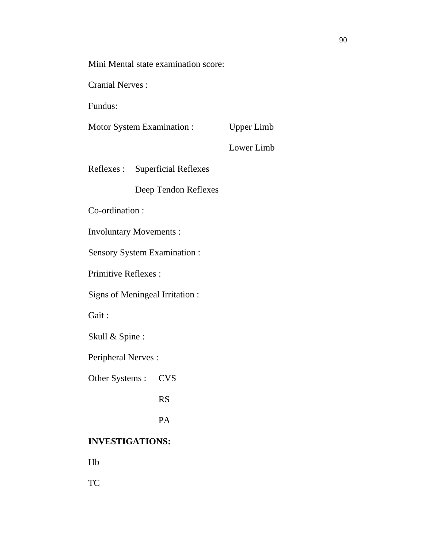Mini Mental state examination score:

Cranial Nerves :

Fundus:

Motor System Examination : Upper Limb

Lower Limb

Reflexes : Superficial Reflexes

Deep Tendon Reflexes

Co-ordination :

Involuntary Movements :

Sensory System Examination :

Primitive Reflexes :

Signs of Meningeal Irritation :

Gait :

Skull & Spine :

Peripheral Nerves :

Other Systems : CVS

RS

PA

### **INVESTIGATIONS:**

Hb

TC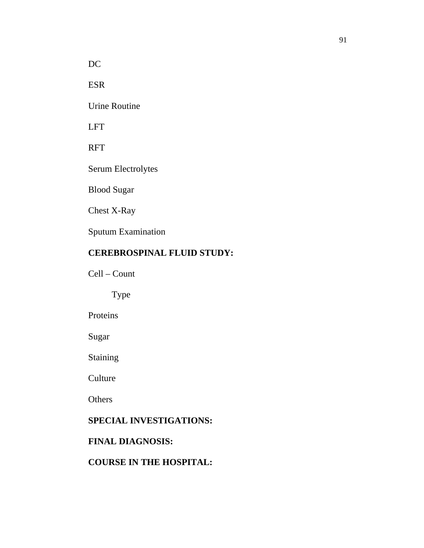DC

ESR

Urine Routine

LFT

RFT

Serum Electrolytes

Blood Sugar

Chest X-Ray

Sputum Examination

### **CEREBROSPINAL FLUID STUDY:**

Cell – Count

Type

Proteins

Sugar

Staining

**Culture** 

**Others** 

### **SPECIAL INVESTIGATIONS:**

## **FINAL DIAGNOSIS:**

### **COURSE IN THE HOSPITAL:**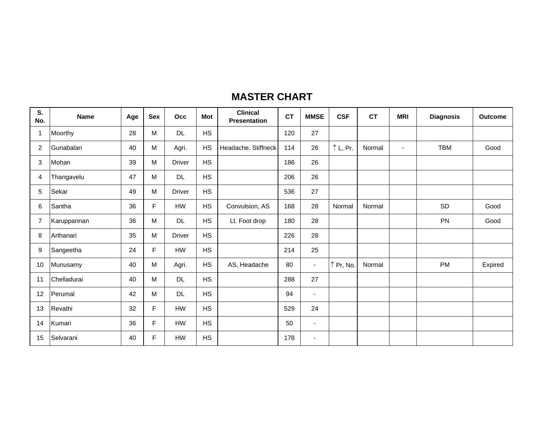## **MASTER CHART**

| S.<br>No.      | <b>Name</b> | Age | <b>Sex</b> | Occ           | Mot       | <b>Clinical</b><br><b>Presentation</b> | <b>CT</b> | <b>MMSE</b>              | <b>CSF</b> | <b>CT</b> | <b>MRI</b>     | <b>Diagnosis</b> | <b>Outcome</b> |
|----------------|-------------|-----|------------|---------------|-----------|----------------------------------------|-----------|--------------------------|------------|-----------|----------------|------------------|----------------|
|                | Moorthy     | 28  | M          | <b>DL</b>     | <b>HS</b> |                                        | 120       | 27                       |            |           |                |                  |                |
| $\overline{a}$ | Gunabalan   | 40  | M          | Agri.         | <b>HS</b> | Headache, Stiffneck                    | 114       | 26                       | ↑L, Pr.    | Normal    | $\blacksquare$ | <b>TBM</b>       | Good           |
| 3              | Mohan       | 39  | M          | <b>Driver</b> | <b>HS</b> |                                        | 186       | 26                       |            |           |                |                  |                |
| 4              | Thangavelu  | 47  | M          | <b>DL</b>     | <b>HS</b> |                                        | 206       | 26                       |            |           |                |                  |                |
| 5              | Sekar       | 49  | м          | <b>Driver</b> | <b>HS</b> |                                        | 536       | 27                       |            |           |                |                  |                |
| 6              | Santha      | 36  | E          | HW            | <b>HS</b> | Convulsion, AS                         | 168       | 28                       | Normal     | Normal    |                | <b>SD</b>        | Good           |
| 7              | Karuppannan | 36  | M          | <b>DL</b>     | <b>HS</b> | Lt. Foot drop                          | 180       | 28                       |            |           |                | PN               | Good           |
| 8              | Arthanari   | 35  | M          | <b>Driver</b> | <b>HS</b> |                                        | 226       | 28                       |            |           |                |                  |                |
| 9              | Sangeetha   | 24  | F          | HW            | <b>HS</b> |                                        | 214       | 25                       |            |           |                |                  |                |
| 10             | Munusamy    | 40  | M          | Agri.         | <b>HS</b> | AS, Headache                           | 80        | $\blacksquare$           | ↑ Pr, No.  | Normal    |                | <b>PM</b>        | Expired        |
| 11             | Chelladurai | 40  | M          | <b>DL</b>     | <b>HS</b> |                                        | 288       | 27                       |            |           |                |                  |                |
| 12             | Perumal     | 42  | M          | <b>DL</b>     | <b>HS</b> |                                        | 94        | $\overline{\phantom{a}}$ |            |           |                |                  |                |
| 13             | Revathi     | 32  | F          | HW            | <b>HS</b> |                                        | 529       | 24                       |            |           |                |                  |                |
| 14             | Kumari      | 36  | F          | HW            | <b>HS</b> |                                        | 50        | $\blacksquare$           |            |           |                |                  |                |
| 15             | Selvarani   | 40  | F          | HW            | <b>HS</b> |                                        | 178       | $\overline{\phantom{a}}$ |            |           |                |                  |                |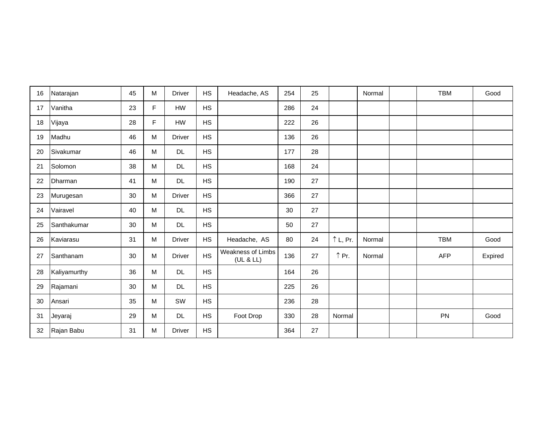| 16 | Natarajan    | 45 | M         | <b>Driver</b> | <b>HS</b> | Headache, AS                   | 254 | 25 |                   | Normal | <b>TBM</b> | Good    |
|----|--------------|----|-----------|---------------|-----------|--------------------------------|-----|----|-------------------|--------|------------|---------|
| 17 | Vanitha      | 23 | F         | HW            | <b>HS</b> |                                | 286 | 24 |                   |        |            |         |
| 18 | Vijaya       | 28 | F         | HW            | <b>HS</b> |                                | 222 | 26 |                   |        |            |         |
| 19 | Madhu        | 46 | ${\sf M}$ | <b>Driver</b> | <b>HS</b> |                                | 136 | 26 |                   |        |            |         |
| 20 | Sivakumar    | 46 | M         | <b>DL</b>     | <b>HS</b> |                                | 177 | 28 |                   |        |            |         |
| 21 | Solomon      | 38 | M         | <b>DL</b>     | <b>HS</b> |                                | 168 | 24 |                   |        |            |         |
| 22 | Dharman      | 41 | M         | <b>DL</b>     | <b>HS</b> |                                | 190 | 27 |                   |        |            |         |
| 23 | Murugesan    | 30 | M         | <b>Driver</b> | <b>HS</b> |                                | 366 | 27 |                   |        |            |         |
| 24 | Vairavel     | 40 | M         | <b>DL</b>     | <b>HS</b> |                                | 30  | 27 |                   |        |            |         |
| 25 | Santhakumar  | 30 | ${\sf M}$ | <b>DL</b>     | <b>HS</b> |                                | 50  | 27 |                   |        |            |         |
| 26 | Kaviarasu    | 31 | M         | <b>Driver</b> | <b>HS</b> | Headache, AS                   | 80  | 24 | $\uparrow$ L, Pr. | Normal | <b>TBM</b> | Good    |
| 27 | Santhanam    | 30 | M         | <b>Driver</b> | <b>HS</b> | Weakness of Limbs<br>(UL & LL) | 136 | 27 | ↑ Pr.             | Normal | <b>AFP</b> | Expired |
| 28 | Kaliyamurthy | 36 | ${\sf M}$ | <b>DL</b>     | <b>HS</b> |                                | 164 | 26 |                   |        |            |         |
| 29 | Rajamani     | 30 | M         | <b>DL</b>     | <b>HS</b> |                                | 225 | 26 |                   |        |            |         |
| 30 | Ansari       | 35 | M         | SW            | <b>HS</b> |                                | 236 | 28 |                   |        |            |         |
| 31 | Jeyaraj      | 29 | M         | <b>DL</b>     | HS        | Foot Drop                      | 330 | 28 | Normal            |        | PN         | Good    |
| 32 | Rajan Babu   | 31 | M         | <b>Driver</b> | <b>HS</b> |                                | 364 | 27 |                   |        |            |         |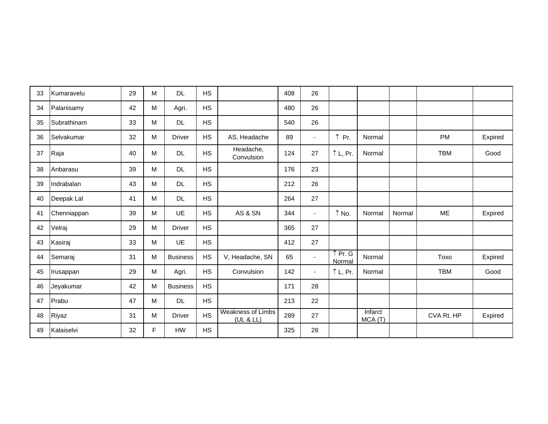| 33 | Kumaravelu  | 29 | М | <b>DL</b>       | <b>HS</b> |                                       | 408 | 26             |                   |                    |        |            |         |
|----|-------------|----|---|-----------------|-----------|---------------------------------------|-----|----------------|-------------------|--------------------|--------|------------|---------|
| 34 | Palanisamy  | 42 | M | Agri.           | <b>HS</b> |                                       | 480 | 26             |                   |                    |        |            |         |
| 35 | Subrathinam | 33 | M | <b>DL</b>       | <b>HS</b> |                                       | 540 | 26             |                   |                    |        |            |         |
| 36 | Selvakumar  | 32 | M | <b>Driver</b>   | <b>HS</b> | AS, Headache                          | 89  | $\blacksquare$ | $\uparrow$ Pr.    | Normal             |        | PM         | Expired |
| 37 | Raja        | 40 | M | <b>DL</b>       | <b>HS</b> | Headache,<br>Convulsion               | 124 | 27             | ↑L, Pr.           | Normal             |        | <b>TBM</b> | Good    |
| 38 | Anbarasu    | 39 | M | <b>DL</b>       | <b>HS</b> |                                       | 176 | 23             |                   |                    |        |            |         |
| 39 | Indrabalan  | 43 | M | <b>DL</b>       | <b>HS</b> |                                       | 212 | 26             |                   |                    |        |            |         |
| 40 | Deepak Lal  | 41 | M | <b>DL</b>       | <b>HS</b> |                                       | 264 | 27             |                   |                    |        |            |         |
| 41 | Chenniappan | 39 | M | <b>UE</b>       | <b>HS</b> | AS & SN                               | 344 | $\blacksquare$ | ↑ No.             | Normal             | Normal | <b>ME</b>  | Expired |
| 42 | Velraj      | 29 | M | <b>Driver</b>   | <b>HS</b> |                                       | 365 | 27             |                   |                    |        |            |         |
| 43 | Kasiraj     | 33 | м | <b>UE</b>       | <b>HS</b> |                                       | 412 | 27             |                   |                    |        |            |         |
| 44 | Semaraj     | 31 | M | <b>Business</b> | <b>HS</b> | V, Headache, SN                       | 65  | $\blacksquare$ | ↑ Pr. G<br>Normal | Normal             |        | Toxo       | Expired |
| 45 | Irusappan   | 29 | M | Agri.           | <b>HS</b> | Convulsion                            | 142 | $\blacksquare$ | $\uparrow$ L, Pr. | Normal             |        | <b>TBM</b> | Good    |
| 46 | Jeyakumar   | 42 | м | <b>Business</b> | <b>HS</b> |                                       | 171 | 28             |                   |                    |        |            |         |
| 47 | Prabu       | 47 | M | <b>DL</b>       | <b>HS</b> |                                       | 213 | 22             |                   |                    |        |            |         |
| 48 | Riyaz       | 31 | M | <b>Driver</b>   | <b>HS</b> | <b>Weakness of Limbs</b><br>(UL & LL) | 289 | 27             |                   | Infarct<br>MCA (T) |        | CVA Rt. HP | Expired |
| 49 | Kalaiselvi  | 32 | F | HW              | <b>HS</b> |                                       | 325 | 28             |                   |                    |        |            |         |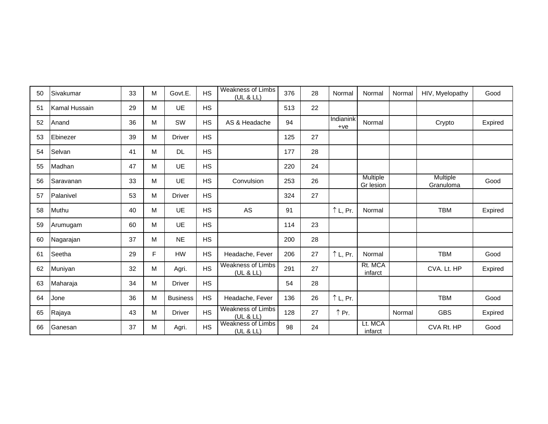| 50 | Sivakumar     | 33 | M | Govt.E.         | <b>HS</b> | <b>Weakness of Limbs</b><br>(UL & LL) | 376 | 28 | Normal             | Normal                | Normal | HIV, Myelopathy       | Good    |
|----|---------------|----|---|-----------------|-----------|---------------------------------------|-----|----|--------------------|-----------------------|--------|-----------------------|---------|
| 51 | Kamal Hussain | 29 | M | <b>UE</b>       | <b>HS</b> |                                       | 513 | 22 |                    |                       |        |                       |         |
| 52 | Anand         | 36 | M | SW              | <b>HS</b> | AS & Headache                         | 94  |    | Indianink<br>$+ve$ | Normal                |        | Crypto                | Expired |
| 53 | Ebinezer      | 39 | M | <b>Driver</b>   | <b>HS</b> |                                       | 125 | 27 |                    |                       |        |                       |         |
| 54 | Selvan        | 41 | M | <b>DL</b>       | <b>HS</b> |                                       | 177 | 28 |                    |                       |        |                       |         |
| 55 | Madhan        | 47 | M | <b>UE</b>       | <b>HS</b> |                                       | 220 | 24 |                    |                       |        |                       |         |
| 56 | Saravanan     | 33 | M | <b>UE</b>       | <b>HS</b> | Convulsion                            | 253 | 26 |                    | Multiple<br>Gr lesion |        | Multiple<br>Granuloma | Good    |
| 57 | Palanivel     | 53 | M | <b>Driver</b>   | <b>HS</b> |                                       | 324 | 27 |                    |                       |        |                       |         |
| 58 | Muthu         | 40 | M | <b>UE</b>       | <b>HS</b> | AS                                    | 91  |    | $\uparrow$ L, Pr.  | Normal                |        | <b>TBM</b>            | Expired |
| 59 | Arumugam      | 60 | M | <b>UE</b>       | <b>HS</b> |                                       | 114 | 23 |                    |                       |        |                       |         |
| 60 | Nagarajan     | 37 | M | <b>NE</b>       | <b>HS</b> |                                       | 200 | 28 |                    |                       |        |                       |         |
| 61 | Seetha        | 29 | F | <b>HW</b>       | <b>HS</b> | Headache, Fever                       | 206 | 27 | $\uparrow$ L, Pr.  | Normal                |        | <b>TBM</b>            | Good    |
| 62 | Muniyan       | 32 | M | Agri.           | <b>HS</b> | <b>Weakness of Limbs</b><br>(UL & LL) | 291 | 27 |                    | Rt. MCA<br>infarct    |        | CVA. Lt. HP           | Expired |
| 63 | Maharaja      | 34 | M | <b>Driver</b>   | <b>HS</b> |                                       | 54  | 28 |                    |                       |        |                       |         |
| 64 | Jone          | 36 | M | <b>Business</b> | <b>HS</b> | Headache, Fever                       | 136 | 26 | $\uparrow$ L, Pr.  |                       |        | <b>TBM</b>            | Good    |
| 65 | Rajaya        | 43 | M | <b>Driver</b>   | <b>HS</b> | <b>Weakness of Limbs</b><br>(UL & LL) | 128 | 27 | ↑ Pr.              |                       | Normal | <b>GBS</b>            | Expired |
| 66 | Ganesan       | 37 | M | Agri.           | <b>HS</b> | <b>Weakness of Limbs</b><br>(UL & LL) | 98  | 24 |                    | Lt. MCA<br>infarct    |        | CVA Rt. HP            | Good    |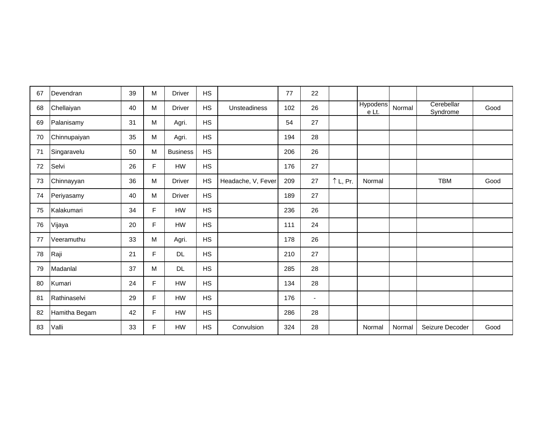| 67 | Devendran     | 39 | M           | <b>Driver</b>   | <b>HS</b> |                     | 77  | 22             |                   |                          |        |                        |      |
|----|---------------|----|-------------|-----------------|-----------|---------------------|-----|----------------|-------------------|--------------------------|--------|------------------------|------|
| 68 | Chellaiyan    | 40 | M           | <b>Driver</b>   | <b>HS</b> | <b>Unsteadiness</b> | 102 | 26             |                   | <b>Hypodens</b><br>e Lt. | Normal | Cerebellar<br>Syndrome | Good |
| 69 | Palanisamy    | 31 | M           | Agri.           | HS        |                     | 54  | 27             |                   |                          |        |                        |      |
| 70 | Chinnupaiyan  | 35 | М           | Agri.           | <b>HS</b> |                     | 194 | 28             |                   |                          |        |                        |      |
| 71 | Singaravelu   | 50 | M           | <b>Business</b> | <b>HS</b> |                     | 206 | 26             |                   |                          |        |                        |      |
| 72 | Selvi         | 26 | F           | <b>HW</b>       | HS        |                     | 176 | 27             |                   |                          |        |                        |      |
| 73 | Chinnayyan    | 36 | M           | <b>Driver</b>   | <b>HS</b> | Headache, V, Fever  | 209 | 27             | $\uparrow$ L, Pr. | Normal                   |        | <b>TBM</b>             | Good |
| 74 | Periyasamy    | 40 | M           | <b>Driver</b>   | HS        |                     | 189 | 27             |                   |                          |        |                        |      |
| 75 | Kalakumari    | 34 | F           | HW              | <b>HS</b> |                     | 236 | 26             |                   |                          |        |                        |      |
| 76 | Vijaya        | 20 | F           | HW              | <b>HS</b> |                     | 111 | 24             |                   |                          |        |                        |      |
| 77 | Veeramuthu    | 33 | M           | Agri.           | <b>HS</b> |                     | 178 | 26             |                   |                          |        |                        |      |
| 78 | Raji          | 21 | F           | <b>DL</b>       | <b>HS</b> |                     | 210 | 27             |                   |                          |        |                        |      |
| 79 | Madanlal      | 37 | M           | <b>DL</b>       | <b>HS</b> |                     | 285 | 28             |                   |                          |        |                        |      |
| 80 | Kumari        | 24 | F           | HW              | <b>HS</b> |                     | 134 | 28             |                   |                          |        |                        |      |
| 81 | Rathinaselvi  | 29 | F           | HW              | <b>HS</b> |                     | 176 | $\blacksquare$ |                   |                          |        |                        |      |
| 82 | Hamitha Begam | 42 | $\mathsf F$ | HW              | HS        |                     | 286 | 28             |                   |                          |        |                        |      |
| 83 | Valli         | 33 | F           | HW              | <b>HS</b> | Convulsion          | 324 | 28             |                   | Normal                   | Normal | Seizure Decoder        | Good |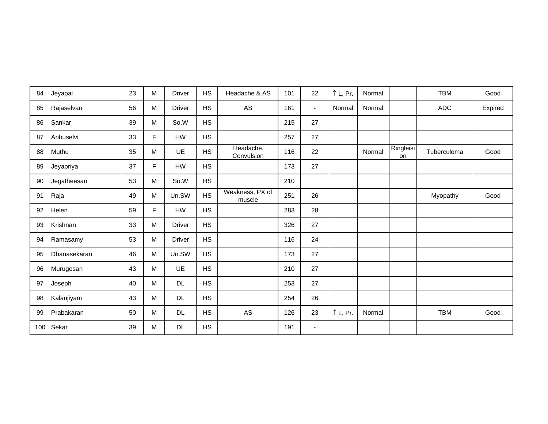| 84  | Jeyapal      | 23 | M | <b>Driver</b> | <b>HS</b> | Headache & AS             | 101 | 22             | $\uparrow$ L, Pr. | Normal |                 | <b>TBM</b>  | Good    |
|-----|--------------|----|---|---------------|-----------|---------------------------|-----|----------------|-------------------|--------|-----------------|-------------|---------|
| 85  | Rajaselvan   | 56 | м | <b>Driver</b> | <b>HS</b> | AS                        | 161 | $\blacksquare$ | Normal            | Normal |                 | <b>ADC</b>  | Expired |
| 86  | Sankar       | 39 | M | So.W          | <b>HS</b> |                           | 215 | 27             |                   |        |                 |             |         |
| 87  | Anbuselvi    | 33 | F | <b>HW</b>     | <b>HS</b> |                           | 257 | 27             |                   |        |                 |             |         |
| 88  | Muthu        | 35 | M | UE            | <b>HS</b> | Headache,<br>Convulsion   | 116 | 22             |                   | Normal | Ringleisi<br>on | Tuberculoma | Good    |
| 89  | Jeyapriya    | 37 | F | HW            | <b>HS</b> |                           | 173 | 27             |                   |        |                 |             |         |
| 90  | Jegatheesan  | 53 | M | So.W          | <b>HS</b> |                           | 210 |                |                   |        |                 |             |         |
| 91  | Raja         | 49 | M | Un.SW         | <b>HS</b> | Weakness, PX of<br>muscle | 251 | 26             |                   |        |                 | Myopathy    | Good    |
| 92  | Helen        | 59 | F | HW            | <b>HS</b> |                           | 283 | 28             |                   |        |                 |             |         |
| 93  | Krishnan     | 33 | M | <b>Driver</b> | <b>HS</b> |                           | 326 | 27             |                   |        |                 |             |         |
| 94  | Ramasamy     | 53 | M | <b>Driver</b> | <b>HS</b> |                           | 116 | 24             |                   |        |                 |             |         |
| 95  | Dhanasekaran | 46 | M | Un.SW         | <b>HS</b> |                           | 173 | 27             |                   |        |                 |             |         |
| 96  | Murugesan    | 43 | M | UE            | <b>HS</b> |                           | 210 | 27             |                   |        |                 |             |         |
| 97  | Joseph       | 40 | M | <b>DL</b>     | <b>HS</b> |                           | 253 | 27             |                   |        |                 |             |         |
| 98  | Kalanjiyam   | 43 | M | <b>DL</b>     | <b>HS</b> |                           | 254 | 26             |                   |        |                 |             |         |
| 99  | Prabakaran   | 50 | M | <b>DL</b>     | <b>HS</b> | AS                        | 126 | 23             | $\uparrow$ L, Pr. | Normal |                 | <b>TBM</b>  | Good    |
| 100 | Sekar        | 39 | M | $\mathsf{DL}$ | <b>HS</b> |                           | 191 | $\blacksquare$ |                   |        |                 |             |         |